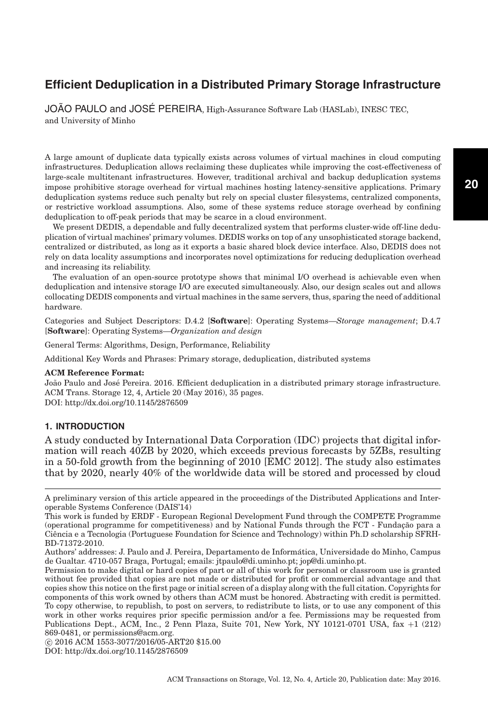JOÃO PAULO and JOSÉ PEREIRA, High-Assurance Software Lab (HASLab), INESC TEC, and University of Minho

A large amount of duplicate data typically exists across volumes of virtual machines in cloud computing infrastructures. Deduplication allows reclaiming these duplicates while improving the cost-effectiveness of large-scale multitenant infrastructures. However, traditional archival and backup deduplication systems impose prohibitive storage overhead for virtual machines hosting latency-sensitive applications. Primary deduplication systems reduce such penalty but rely on special cluster filesystems, centralized components, or restrictive workload assumptions. Also, some of these systems reduce storage overhead by confining deduplication to off-peak periods that may be scarce in a cloud environment.

We present DEDIS, a dependable and fully decentralized system that performs cluster-wide off-line deduplication of virtual machines' primary volumes. DEDIS works on top of any unsophisticated storage backend, centralized or distributed, as long as it exports a basic shared block device interface. Also, DEDIS does not rely on data locality assumptions and incorporates novel optimizations for reducing deduplication overhead and increasing its reliability.

The evaluation of an open-source prototype shows that minimal I/O overhead is achievable even when deduplication and intensive storage I/O are executed simultaneously. Also, our design scales out and allows collocating DEDIS components and virtual machines in the same servers, thus, sparing the need of additional hardware.

Categories and Subject Descriptors: D.4.2 [**Software**]: Operating Systems—*Storage management*; D.4.7 [**Software**]: Operating Systems—*Organization and design*

General Terms: Algorithms, Design, Performance, Reliability

Additional Key Words and Phrases: Primary storage, deduplication, distributed systems

#### **ACM Reference Format:**

João Paulo and José Pereira. 2016. Efficient deduplication in a distributed primary storage infrastructure. ACM Trans. Storage 12, 4, Article 20 (May 2016), 35 pages. DOI:<http://dx.doi.org/10.1145/2876509>

# **1. INTRODUCTION**

A study conducted by International Data Corporation (IDC) projects that digital information will reach 40ZB by 2020, which exceeds previous forecasts by 5ZBs, resulting in a 50-fold growth from the beginning of 2010 [EMC [2012\]](#page-32-0). The study also estimates that by 2020, nearly 40% of the worldwide data will be stored and processed by cloud

-c 2016 ACM 1553-3077/2016/05-ART20 \$15.00

DOI:<http://dx.doi.org/10.1145/2876509>

A preliminary version of this article appeared in the proceedings of the Distributed Applications and Interoperable Systems Conference (DAIS'14)

This work is funded by ERDF - European Regional Development Fund through the COMPETE Programme (operational programme for competitiveness) and by National Funds through the FCT - Fundação para a Ciencia e a Tecnologia (Portuguese Foundation for Science and Technology) within Ph.D scholarship SFRH- ˆ BD-71372-2010.

Authors' addresses: J. Paulo and J. Pereira, Departamento de Informatica, Universidade do Minho, Campus ´ de Gualtar. 4710-057 Braga, Portugal; emails: jtpaulo@di.uminho.pt; jop@di.uminho.pt.

Permission to make digital or hard copies of part or all of this work for personal or classroom use is granted without fee provided that copies are not made or distributed for profit or commercial advantage and that copies show this notice on the first page or initial screen of a display along with the full citation. Copyrights for components of this work owned by others than ACM must be honored. Abstracting with credit is permitted. To copy otherwise, to republish, to post on servers, to redistribute to lists, or to use any component of this work in other works requires prior specific permission and/or a fee. Permissions may be requested from Publications Dept., ACM, Inc., 2 Penn Plaza, Suite 701, New York, NY 10121-0701 USA, fax +1 (212) 869-0481, or permissions@acm.org.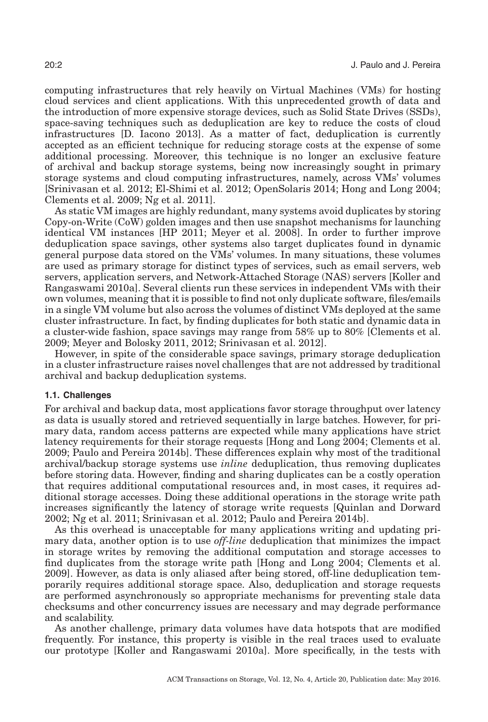computing infrastructures that rely heavily on Virtual Machines (VMs) for hosting cloud services and client applications. With this unprecedented growth of data and the introduction of more expensive storage devices, such as Solid State Drives (SSDs), space-saving techniques such as deduplication are key to reduce the costs of cloud infrastructures [D. Iacono [2013\]](#page-32-1). As a matter of fact, deduplication is currently accepted as an efficient technique for reducing storage costs at the expense of some additional processing. Moreover, this technique is no longer an exclusive feature of archival and backup storage systems, being now increasingly sought in primary storage systems and cloud computing infrastructures, namely, across VMs' volumes [Srinivasan et al. [2012;](#page-34-0) El-Shimi et al. [2012;](#page-32-2) OpenSolaris [2014;](#page-33-0) Hong and Long [2004;](#page-32-3) Clements et al. [2009;](#page-32-4) Ng et al. [2011\]](#page-33-1).

As static VM images are highly redundant, many systems avoid duplicates by storing Copy-on-Write (CoW) golden images and then use snapshot mechanisms for launching identical VM instances [HP [2011;](#page-32-5) Meyer et al. [2008\]](#page-33-2). In order to further improve deduplication space savings, other systems also target duplicates found in dynamic general purpose data stored on the VMs' volumes. In many situations, these volumes are used as primary storage for distinct types of services, such as email servers, web servers, application servers, and Network-Attached Storage (NAS) servers [Koller and Rangaswami [2010a\]](#page-33-3). Several clients run these services in independent VMs with their own volumes, meaning that it is possible to find not only duplicate software, files/emails in a single VM volume but also across the volumes of distinct VMs deployed at the same cluster infrastructure. In fact, by finding duplicates for both static and dynamic data in a cluster-wide fashion, space savings may range from 58% up to 80% [Clements et al. [2009;](#page-32-4) Meyer and Bolosky [2011,](#page-33-4) [2012;](#page-33-5) Srinivasan et al. [2012\]](#page-34-0).

However, in spite of the considerable space savings, primary storage deduplication in a cluster infrastructure raises novel challenges that are not addressed by traditional archival and backup deduplication systems.

# **1.1. Challenges**

For archival and backup data, most applications favor storage throughput over latency as data is usually stored and retrieved sequentially in large batches. However, for primary data, random access patterns are expected while many applications have strict latency requirements for their storage requests [Hong and Long [2004;](#page-32-3) Clements et al. [2009;](#page-32-4) Paulo and Pereira [2014b\]](#page-33-6). These differences explain why most of the traditional archival/backup storage systems use *inline* deduplication, thus removing duplicates before storing data. However, finding and sharing duplicates can be a costly operation that requires additional computational resources and, in most cases, it requires additional storage accesses. Doing these additional operations in the storage write path increases significantly the latency of storage write requests [Quinlan and Dorward [2002;](#page-33-7) Ng et al. [2011;](#page-33-1) Srinivasan et al. [2012;](#page-34-0) Paulo and Pereira [2014b\]](#page-33-6).

As this overhead is unacceptable for many applications writing and updating primary data, another option is to use *off-line* deduplication that minimizes the impact in storage writes by removing the additional computation and storage accesses to find duplicates from the storage write path [Hong and Long [2004;](#page-32-3) Clements et al. [2009\]](#page-32-4). However, as data is only aliased after being stored, off-line deduplication temporarily requires additional storage space. Also, deduplication and storage requests are performed asynchronously so appropriate mechanisms for preventing stale data checksums and other concurrency issues are necessary and may degrade performance and scalability.

As another challenge, primary data volumes have data hotspots that are modified frequently. For instance, this property is visible in the real traces used to evaluate our prototype [Koller and Rangaswami [2010a\]](#page-33-3). More specifically, in the tests with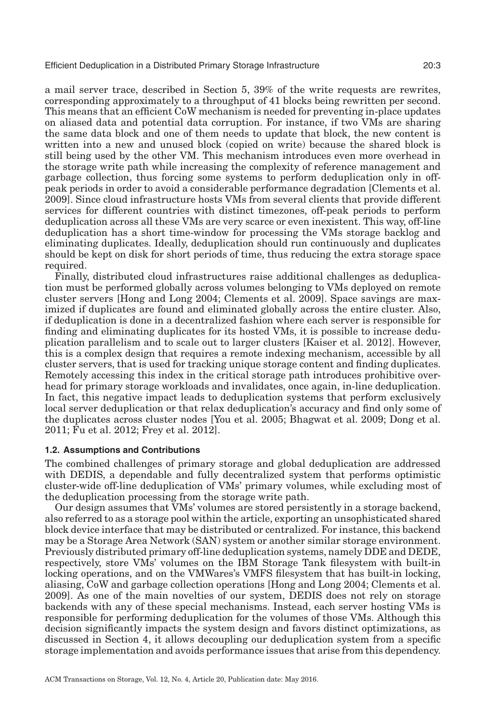a mail server trace, described in Section [5,](#page-16-0) 39% of the write requests are rewrites, corresponding approximately to a throughput of 41 blocks being rewritten per second. This means that an efficient CoW mechanism is needed for preventing in-place updates on aliased data and potential data corruption. For instance, if two VMs are sharing the same data block and one of them needs to update that block, the new content is written into a new and unused block (copied on write) because the shared block is still being used by the other VM. This mechanism introduces even more overhead in the storage write path while increasing the complexity of reference management and garbage collection, thus forcing some systems to perform deduplication only in offpeak periods in order to avoid a considerable performance degradation [Clements et al. [2009\]](#page-32-4). Since cloud infrastructure hosts VMs from several clients that provide different services for different countries with distinct timezones, off-peak periods to perform deduplication across all these VMs are very scarce or even inexistent. This way, off-line deduplication has a short time-window for processing the VMs storage backlog and eliminating duplicates. Ideally, deduplication should run continuously and duplicates should be kept on disk for short periods of time, thus reducing the extra storage space required.

Finally, distributed cloud infrastructures raise additional challenges as deduplication must be performed globally across volumes belonging to VMs deployed on remote cluster servers [Hong and Long [2004;](#page-32-3) Clements et al. [2009\]](#page-32-4). Space savings are maximized if duplicates are found and eliminated globally across the entire cluster. Also, if deduplication is done in a decentralized fashion where each server is responsible for finding and eliminating duplicates for its hosted VMs, it is possible to increase deduplication parallelism and to scale out to larger clusters [Kaiser et al. [2012\]](#page-33-8). However, this is a complex design that requires a remote indexing mechanism, accessible by all cluster servers, that is used for tracking unique storage content and finding duplicates. Remotely accessing this index in the critical storage path introduces prohibitive overhead for primary storage workloads and invalidates, once again, in-line deduplication. In fact, this negative impact leads to deduplication systems that perform exclusively local server deduplication or that relax deduplication's accuracy and find only some of the duplicates across cluster nodes [You et al. [2005;](#page-34-1) Bhagwat et al. [2009;](#page-32-6) Dong et al. [2011;](#page-32-7) Fu et al. [2012;](#page-32-8) Frey et al. [2012\]](#page-32-9).

# **1.2. Assumptions and Contributions**

The combined challenges of primary storage and global deduplication are addressed with DEDIS, a dependable and fully decentralized system that performs optimistic cluster-wide off-line deduplication of VMs' primary volumes, while excluding most of the deduplication processing from the storage write path.

Our design assumes that VMs' volumes are stored persistently in a storage backend, also referred to as a storage pool within the article, exporting an unsophisticated shared block device interface that may be distributed or centralized. For instance, this backend may be a Storage Area Network (SAN) system or another similar storage environment. Previously distributed primary off-line deduplication systems, namely DDE and DEDE, respectively, store VMs' volumes on the IBM Storage Tank filesystem with built-in locking operations, and on the VMWares's VMFS filesystem that has built-in locking, aliasing, CoW and garbage collection operations [Hong and Long [2004;](#page-32-3) Clements et al. [2009\]](#page-32-4). As one of the main novelties of our system, DEDIS does not rely on storage backends with any of these special mechanisms. Instead, each server hosting VMs is responsible for performing deduplication for the volumes of those VMs. Although this decision significantly impacts the system design and favors distinct optimizations, as discussed in Section [4,](#page-7-0) it allows decoupling our deduplication system from a specific storage implementation and avoids performance issues that arise from this dependency.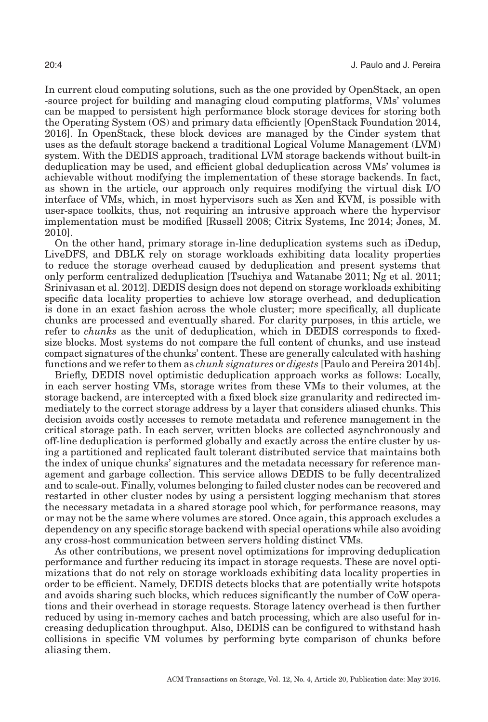In current cloud computing solutions, such as the one provided by OpenStack, an open -source project for building and managing cloud computing platforms, VMs' volumes can be mapped to persistent high performance block storage devices for storing both the Operating System (OS) and primary data efficiently [OpenStack Foundation [2014,](#page-33-9) [2016\]](#page-33-10). In OpenStack, these block devices are managed by the Cinder system that uses as the default storage backend a traditional Logical Volume Management (LVM) system. With the DEDIS approach, traditional LVM storage backends without built-in deduplication may be used, and efficient global deduplication across VMs' volumes is achievable without modifying the implementation of these storage backends. In fact, as shown in the article, our approach only requires modifying the virtual disk I/O interface of VMs, which, in most hypervisors such as Xen and KVM, is possible with user-space toolkits, thus, not requiring an intrusive approach where the hypervisor implementation must be modified [Russell [2008;](#page-33-11) Citrix Systems, Inc [2014;](#page-32-10) Jones, M. [2010\]](#page-32-11).

On the other hand, primary storage in-line deduplication systems such as iDedup, LiveDFS, and DBLK rely on storage workloads exhibiting data locality properties to reduce the storage overhead caused by deduplication and present systems that only perform centralized deduplication [Tsuchiya and Watanabe [2011;](#page-34-2) Ng et al. [2011;](#page-33-1) Srinivasan et al. [2012\]](#page-34-0). DEDIS design does not depend on storage workloads exhibiting specific data locality properties to achieve low storage overhead, and deduplication is done in an exact fashion across the whole cluster; more specifically, all duplicate chunks are processed and eventually shared. For clarity purposes, in this article, we refer to *chunks* as the unit of deduplication, which in DEDIS corresponds to fixedsize blocks. Most systems do not compare the full content of chunks, and use instead compact signatures of the chunks' content. These are generally calculated with hashing functions and we refer to them as *chunk signatures* or *digests* [Paulo and Pereira [2014b\]](#page-33-6).

Briefly, DEDIS novel optimistic deduplication approach works as follows: Locally, in each server hosting VMs, storage writes from these VMs to their volumes, at the storage backend, are intercepted with a fixed block size granularity and redirected immediately to the correct storage address by a layer that considers aliased chunks. This decision avoids costly accesses to remote metadata and reference management in the critical storage path. In each server, written blocks are collected asynchronously and off-line deduplication is performed globally and exactly across the entire cluster by using a partitioned and replicated fault tolerant distributed service that maintains both the index of unique chunks' signatures and the metadata necessary for reference management and garbage collection. This service allows DEDIS to be fully decentralized and to scale-out. Finally, volumes belonging to failed cluster nodes can be recovered and restarted in other cluster nodes by using a persistent logging mechanism that stores the necessary metadata in a shared storage pool which, for performance reasons, may or may not be the same where volumes are stored. Once again, this approach excludes a dependency on any specific storage backend with special operations while also avoiding any cross-host communication between servers holding distinct VMs.

As other contributions, we present novel optimizations for improving deduplication performance and further reducing its impact in storage requests. These are novel optimizations that do not rely on storage workloads exhibiting data locality properties in order to be efficient. Namely, DEDIS detects blocks that are potentially write hotspots and avoids sharing such blocks, which reduces significantly the number of CoW operations and their overhead in storage requests. Storage latency overhead is then further reduced by using in-memory caches and batch processing, which are also useful for increasing deduplication throughput. Also, DEDIS can be configured to withstand hash collisions in specific VM volumes by performing byte comparison of chunks before aliasing them.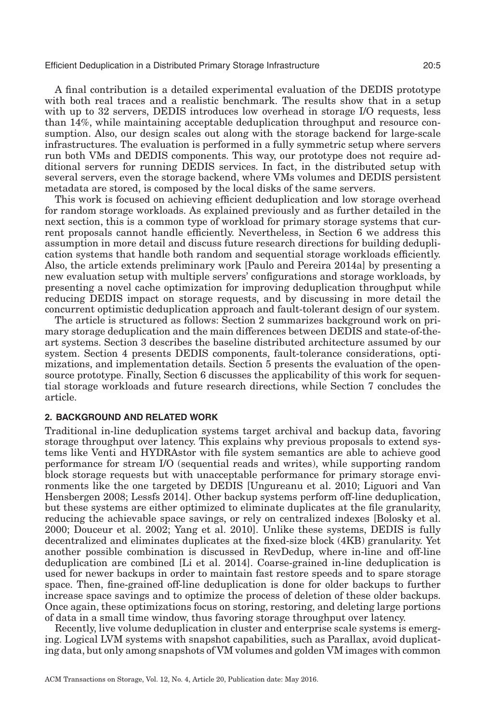A final contribution is a detailed experimental evaluation of the DEDIS prototype with both real traces and a realistic benchmark. The results show that in a setup with up to 32 servers, DEDIS introduces low overhead in storage I/O requests, less than 14%, while maintaining acceptable deduplication throughput and resource consumption. Also, our design scales out along with the storage backend for large-scale infrastructures. The evaluation is performed in a fully symmetric setup where servers run both VMs and DEDIS components. This way, our prototype does not require additional servers for running DEDIS services. In fact, in the distributed setup with several servers, even the storage backend, where VMs volumes and DEDIS persistent metadata are stored, is composed by the local disks of the same servers.

This work is focused on achieving efficient deduplication and low storage overhead for random storage workloads. As explained previously and as further detailed in the next section, this is a common type of workload for primary storage systems that current proposals cannot handle efficiently. Nevertheless, in Section [6](#page-30-0) we address this assumption in more detail and discuss future research directions for building deduplication systems that handle both random and sequential storage workloads efficiently. Also, the article extends preliminary work [Paulo and Pereira [2014a\]](#page-33-12) by presenting a new evaluation setup with multiple servers' configurations and storage workloads, by presenting a novel cache optimization for improving deduplication throughput while reducing DEDIS impact on storage requests, and by discussing in more detail the concurrent optimistic deduplication approach and fault-tolerant design of our system.

The article is structured as follows: Section [2](#page-4-0) summarizes background work on primary storage deduplication and the main differences between DEDIS and state-of-theart systems. Section [3](#page-6-0) describes the baseline distributed architecture assumed by our system. Section [4](#page-7-0) presents DEDIS components, fault-tolerance considerations, optimizations, and implementation details. Section [5](#page-16-0) presents the evaluation of the opensource prototype. Finally, Section [6](#page-30-0) discusses the applicability of this work for sequential storage workloads and future research directions, while Section [7](#page-31-0) concludes the article.

# **2. BACKGROUND AND RELATED WORK**

<span id="page-4-0"></span>Traditional in-line deduplication systems target archival and backup data, favoring storage throughput over latency. This explains why previous proposals to extend systems like Venti and HYDRAstor with file system semantics are able to achieve good performance for stream I/O (sequential reads and writes), while supporting random block storage requests but with unacceptable performance for primary storage environments like the one targeted by DEDIS [Ungureanu et al. [2010;](#page-34-3) Liguori and Van Hensbergen [2008;](#page-33-13) Lessfs [2014\]](#page-33-14). Other backup systems perform off-line deduplication, but these systems are either optimized to eliminate duplicates at the file granularity, reducing the achievable space savings, or rely on centralized indexes [Bolosky et al. [2000;](#page-32-12) Douceur et al. [2002;](#page-32-13) Yang et al. [2010\]](#page-34-4). Unlike these systems, DEDIS is fully decentralized and eliminates duplicates at the fixed-size block (4KB) granularity. Yet another possible combination is discussed in RevDedup, where in-line and off-line deduplication are combined [Li et al. [2014\]](#page-33-15). Coarse-grained in-line deduplication is used for newer backups in order to maintain fast restore speeds and to spare storage space. Then, fine-grained off-line deduplication is done for older backups to further increase space savings and to optimize the process of deletion of these older backups. Once again, these optimizations focus on storing, restoring, and deleting large portions of data in a small time window, thus favoring storage throughput over latency.

Recently, live volume deduplication in cluster and enterprise scale systems is emerging. Logical LVM systems with snapshot capabilities, such as Parallax, avoid duplicating data, but only among snapshots of VM volumes and golden VM images with common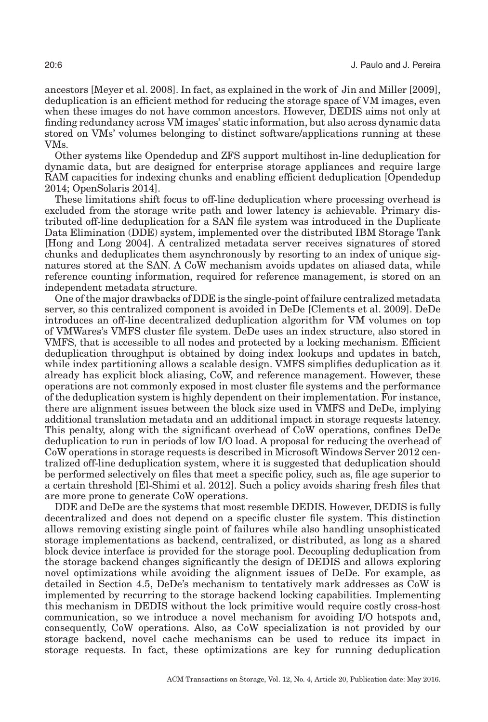ancestors [Meyer et al. [2008\]](#page-33-2). In fact, as explained in the work of Jin and Miller [\[2009\]](#page-32-14), deduplication is an efficient method for reducing the storage space of VM images, even when these images do not have common ancestors. However, DEDIS aims not only at finding redundancy across VM images' static information, but also across dynamic data stored on VMs' volumes belonging to distinct software/applications running at these VMs.

Other systems like Opendedup and ZFS support multihost in-line deduplication for dynamic data, but are designed for enterprise storage appliances and require large RAM capacities for indexing chunks and enabling efficient deduplication [Opendedup [2014;](#page-33-16) OpenSolaris [2014\]](#page-33-0).

These limitations shift focus to off-line deduplication where processing overhead is excluded from the storage write path and lower latency is achievable. Primary distributed off-line deduplication for a SAN file system was introduced in the Duplicate Data Elimination (DDE) system, implemented over the distributed IBM Storage Tank [Hong and Long [2004\]](#page-32-3). A centralized metadata server receives signatures of stored chunks and deduplicates them asynchronously by resorting to an index of unique signatures stored at the SAN. A CoW mechanism avoids updates on aliased data, while reference counting information, required for reference management, is stored on an independent metadata structure.

One of the major drawbacks of DDE is the single-point of failure centralized metadata server, so this centralized component is avoided in DeDe [Clements et al. [2009\]](#page-32-4). DeDe introduces an off-line decentralized deduplication algorithm for VM volumes on top of VMWares's VMFS cluster file system. DeDe uses an index structure, also stored in VMFS, that is accessible to all nodes and protected by a locking mechanism. Efficient deduplication throughput is obtained by doing index lookups and updates in batch, while index partitioning allows a scalable design. VMFS simplifies deduplication as it already has explicit block aliasing, CoW, and reference management. However, these operations are not commonly exposed in most cluster file systems and the performance of the deduplication system is highly dependent on their implementation. For instance, there are alignment issues between the block size used in VMFS and DeDe, implying additional translation metadata and an additional impact in storage requests latency. This penalty, along with the significant overhead of CoW operations, confines DeDe deduplication to run in periods of low I/O load. A proposal for reducing the overhead of CoW operations in storage requests is described in Microsoft Windows Server 2012 centralized off-line deduplication system, where it is suggested that deduplication should be performed selectively on files that meet a specific policy, such as, file age superior to a certain threshold [El-Shimi et al. [2012\]](#page-32-2). Such a policy avoids sharing fresh files that are more prone to generate CoW operations.

DDE and DeDe are the systems that most resemble DEDIS. However, DEDIS is fully decentralized and does not depend on a specific cluster file system. This distinction allows removing existing single point of failures while also handling unsophisticated storage implementations as backend, centralized, or distributed, as long as a shared block device interface is provided for the storage pool. Decoupling deduplication from the storage backend changes significantly the design of DEDIS and allows exploring novel optimizations while avoiding the alignment issues of DeDe. For example, as detailed in Section [4.5,](#page-14-0) DeDe's mechanism to tentatively mark addresses as CoW is implemented by recurring to the storage backend locking capabilities. Implementing this mechanism in DEDIS without the lock primitive would require costly cross-host communication, so we introduce a novel mechanism for avoiding I/O hotspots and, consequently, CoW operations. Also, as CoW specialization is not provided by our storage backend, novel cache mechanisms can be used to reduce its impact in storage requests. In fact, these optimizations are key for running deduplication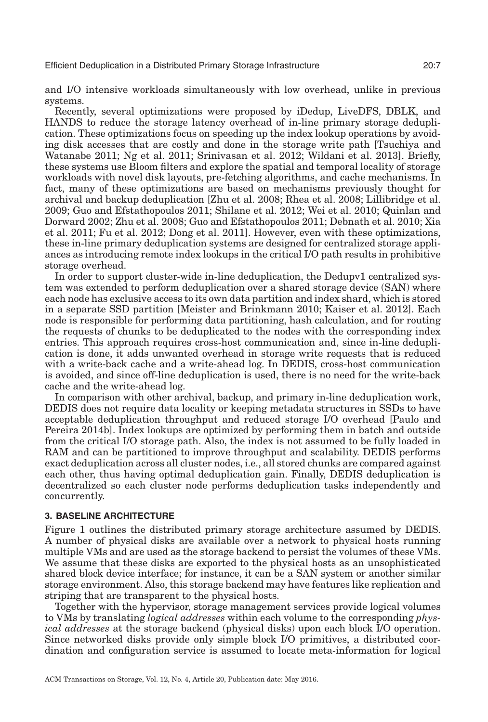and I/O intensive workloads simultaneously with low overhead, unlike in previous systems.

Recently, several optimizations were proposed by iDedup, LiveDFS, DBLK, and HANDS to reduce the storage latency overhead of in-line primary storage deduplication. These optimizations focus on speeding up the index lookup operations by avoiding disk accesses that are costly and done in the storage write path [Tsuchiya and Watanabe [2011;](#page-34-2) Ng et al. [2011;](#page-33-1) Srinivasan et al. [2012;](#page-34-0) Wildani et al. [2013\]](#page-34-5). Briefly, these systems use Bloom filters and explore the spatial and temporal locality of storage workloads with novel disk layouts, pre-fetching algorithms, and cache mechanisms. In fact, many of these optimizations are based on mechanisms previously thought for archival and backup deduplication [Zhu et al. [2008;](#page-34-6) Rhea et al. [2008;](#page-33-17) Lillibridge et al. [2009;](#page-33-18) Guo and Efstathopoulos [2011;](#page-32-15) Shilane et al. [2012;](#page-33-19) Wei et al. [2010;](#page-34-7) Quinlan and Dorward [2002;](#page-33-7) Zhu et al. [2008;](#page-34-6) Guo and Efstathopoulos [2011;](#page-32-15) Debnath et al. [2010;](#page-32-16) Xia et al. [2011;](#page-34-8) Fu et al. [2012;](#page-32-8) Dong et al. [2011\]](#page-32-7). However, even with these optimizations, these in-line primary deduplication systems are designed for centralized storage appliances as introducing remote index lookups in the critical I/O path results in prohibitive storage overhead.

In order to support cluster-wide in-line deduplication, the Dedupv1 centralized system was extended to perform deduplication over a shared storage device (SAN) where each node has exclusive access to its own data partition and index shard, which is stored in a separate SSD partition [Meister and Brinkmann [2010;](#page-33-20) Kaiser et al. [2012\]](#page-33-8). Each node is responsible for performing data partitioning, hash calculation, and for routing the requests of chunks to be deduplicated to the nodes with the corresponding index entries. This approach requires cross-host communication and, since in-line deduplication is done, it adds unwanted overhead in storage write requests that is reduced with a write-back cache and a write-ahead log. In DEDIS, cross-host communication is avoided, and since off-line deduplication is used, there is no need for the write-back cache and the write-ahead log.

In comparison with other archival, backup, and primary in-line deduplication work, DEDIS does not require data locality or keeping metadata structures in SSDs to have acceptable deduplication throughput and reduced storage I/O overhead [Paulo and Pereira [2014b\]](#page-33-6). Index lookups are optimized by performing them in batch and outside from the critical I/O storage path. Also, the index is not assumed to be fully loaded in RAM and can be partitioned to improve throughput and scalability. DEDIS performs exact deduplication across all cluster nodes, i.e., all stored chunks are compared against each other, thus having optimal deduplication gain. Finally, DEDIS deduplication is decentralized so each cluster node performs deduplication tasks independently and concurrently.

# **3. BASELINE ARCHITECTURE**

<span id="page-6-0"></span>Figure [1](#page-7-1) outlines the distributed primary storage architecture assumed by DEDIS. A number of physical disks are available over a network to physical hosts running multiple VMs and are used as the storage backend to persist the volumes of these VMs. We assume that these disks are exported to the physical hosts as an unsophisticated shared block device interface; for instance, it can be a SAN system or another similar storage environment. Also, this storage backend may have features like replication and striping that are transparent to the physical hosts.

Together with the hypervisor, storage management services provide logical volumes to VMs by translating *logical addresses* within each volume to the corresponding *physical addresses* at the storage backend (physical disks) upon each block I/O operation. Since networked disks provide only simple block I/O primitives, a distributed coordination and configuration service is assumed to locate meta-information for logical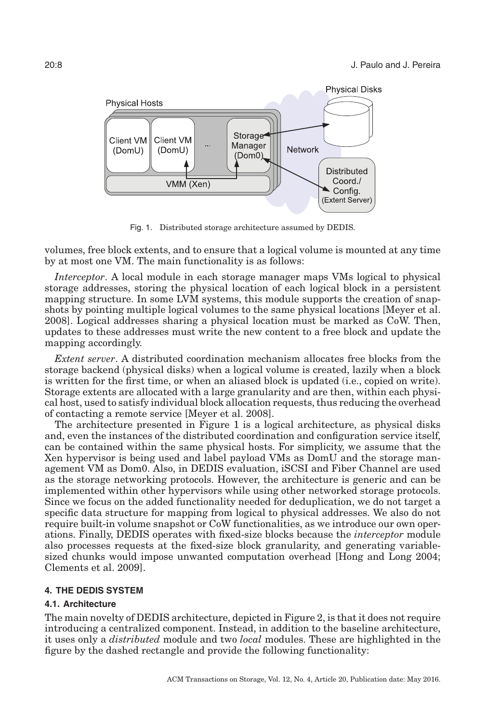<span id="page-7-1"></span>

Fig. 1. Distributed storage architecture assumed by DEDIS.

volumes, free block extents, and to ensure that a logical volume is mounted at any time by at most one VM. The main functionality is as follows:

*Interceptor*. A local module in each storage manager maps VMs logical to physical storage addresses, storing the physical location of each logical block in a persistent mapping structure. In some LVM systems, this module supports the creation of snapshots by pointing multiple logical volumes to the same physical locations [Meyer et al. [2008\]](#page-33-2). Logical addresses sharing a physical location must be marked as CoW. Then, updates to these addresses must write the new content to a free block and update the mapping accordingly.

*Extent server*. A distributed coordination mechanism allocates free blocks from the storage backend (physical disks) when a logical volume is created, lazily when a block is written for the first time, or when an aliased block is updated (i.e., copied on write). Storage extents are allocated with a large granularity and are then, within each physical host, used to satisfy individual block allocation requests, thus reducing the overhead of contacting a remote service [Meyer et al. [2008\]](#page-33-2).

The architecture presented in Figure [1](#page-7-1) is a logical architecture, as physical disks and, even the instances of the distributed coordination and configuration service itself, can be contained within the same physical hosts. For simplicity, we assume that the Xen hypervisor is being used and label payload VMs as DomU and the storage management VM as Dom0. Also, in DEDIS evaluation, iSCSI and Fiber Channel are used as the storage networking protocols. However, the architecture is generic and can be implemented within other hypervisors while using other networked storage protocols. Since we focus on the added functionality needed for deduplication, we do not target a specific data structure for mapping from logical to physical addresses. We also do not require built-in volume snapshot or CoW functionalities, as we introduce our own operations. Finally, DEDIS operates with fixed-size blocks because the *interceptor* module also processes requests at the fixed-size block granularity, and generating variablesized chunks would impose unwanted computation overhead [Hong and Long [2004;](#page-32-3) Clements et al. [2009\]](#page-32-4).

# **4. THE DEDIS SYSTEM**

# <span id="page-7-0"></span>**4.1. Architecture**

The main novelty of DEDIS architecture, depicted in Figure [2,](#page-8-0) is that it does not require introducing a centralized component. Instead, in addition to the baseline architecture, it uses only a *distributed* module and two *local* modules. These are highlighted in the figure by the dashed rectangle and provide the following functionality: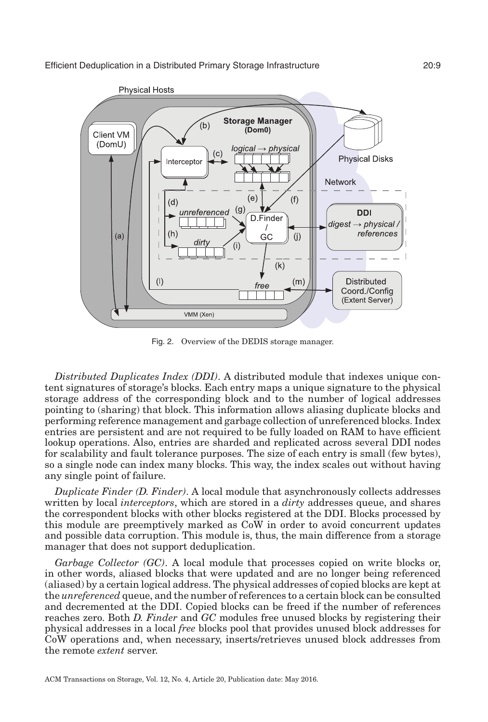<span id="page-8-0"></span>

Fig. 2. Overview of the DEDIS storage manager.

*Distributed Duplicates Index (DDI)*. A distributed module that indexes unique content signatures of storage's blocks. Each entry maps a unique signature to the physical storage address of the corresponding block and to the number of logical addresses pointing to (sharing) that block. This information allows aliasing duplicate blocks and performing reference management and garbage collection of unreferenced blocks. Index entries are persistent and are not required to be fully loaded on RAM to have efficient lookup operations. Also, entries are sharded and replicated across several DDI nodes for scalability and fault tolerance purposes. The size of each entry is small (few bytes), so a single node can index many blocks. This way, the index scales out without having any single point of failure.

*Duplicate Finder (D. Finder)*. A local module that asynchronously collects addresses written by local *interceptors*, which are stored in a *dirty* addresses queue, and shares the correspondent blocks with other blocks registered at the DDI. Blocks processed by this module are preemptively marked as CoW in order to avoid concurrent updates and possible data corruption. This module is, thus, the main difference from a storage manager that does not support deduplication.

*Garbage Collector (GC)*. A local module that processes copied on write blocks or, in other words, aliased blocks that were updated and are no longer being referenced (aliased) by a certain logical address. The physical addresses of copied blocks are kept at the *unreferenced* queue, and the number of references to a certain block can be consulted and decremented at the DDI. Copied blocks can be freed if the number of references reaches zero. Both *D. Finder* and *GC* modules free unused blocks by registering their physical addresses in a local *free* blocks pool that provides unused block addresses for CoW operations and, when necessary, inserts/retrieves unused block addresses from the remote *extent* server.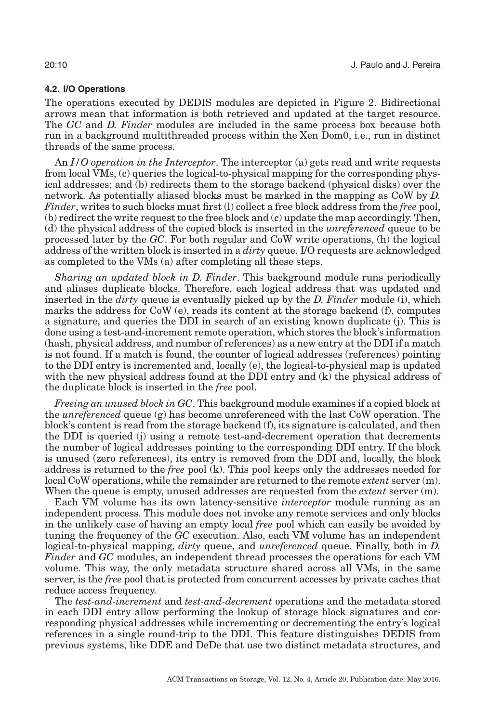# **4.2. I/O Operations**

<span id="page-9-0"></span>The operations executed by DEDIS modules are depicted in Figure [2.](#page-8-0) Bidirectional arrows mean that information is both retrieved and updated at the target resource. The *GC* and *D. Finder* modules are included in the same process box because both run in a background multithreaded process within the Xen Dom0, i.e., run in distinct threads of the same process.

An *I/O operation in the Interceptor*. The interceptor (a) gets read and write requests from local VMs, (c) queries the logical-to-physical mapping for the corresponding physical addresses; and (b) redirects them to the storage backend (physical disks) over the network. As potentially aliased blocks must be marked in the mapping as CoW by *D. Finder*, writes to such blocks must first (l) collect a free block address from the *free* pool, (b) redirect the write request to the free block and (c) update the map accordingly. Then, (d) the physical address of the copied block is inserted in the *unreferenced* queue to be processed later by the *GC*. For both regular and CoW write operations, (h) the logical address of the written block is inserted in a *dirty* queue. I/O requests are acknowledged as completed to the VMs (a) after completing all these steps.

*Sharing an updated block in D. Finder*. This background module runs periodically and aliases duplicate blocks. Therefore, each logical address that was updated and inserted in the *dirty* queue is eventually picked up by the *D. Finder* module (i), which marks the address for  $\text{CoW}$  (e), reads its content at the storage backend (f), computes a signature, and queries the DDI in search of an existing known duplicate (j). This is done using a test-and-increment remote operation, which stores the block's information (hash, physical address, and number of references) as a new entry at the DDI if a match is not found. If a match is found, the counter of logical addresses (references) pointing to the DDI entry is incremented and, locally (e), the logical-to-physical map is updated with the new physical address found at the DDI entry and (k) the physical address of the duplicate block is inserted in the *free* pool.

*Freeing an unused block in GC*. This background module examines if a copied block at the *unreferenced* queue (g) has become unreferenced with the last CoW operation. The block's content is read from the storage backend (f), its signature is calculated, and then the DDI is queried (j) using a remote test-and-decrement operation that decrements the number of logical addresses pointing to the corresponding DDI entry. If the block is unused (zero references), its entry is removed from the DDI and, locally, the block address is returned to the *free* pool (k). This pool keeps only the addresses needed for local CoW operations, while the remainder are returned to the remote *extent* server (m). When the queue is empty, unused addresses are requested from the *extent* server (m).

Each VM volume has its own latency-sensitive *interceptor* module running as an independent process. This module does not invoke any remote services and only blocks in the unlikely case of having an empty local *free* pool which can easily be avoided by tuning the frequency of the *GC* execution. Also, each VM volume has an independent logical-to-physical mapping, *dirty* queue, and *unreferenced* queue. Finally, both in *D. Finder* and *GC* modules, an independent thread processes the operations for each VM volume. This way, the only metadata structure shared across all VMs, in the same server, is the *free* pool that is protected from concurrent accesses by private caches that reduce access frequency.

The *test-and-increment* and *test-and-decrement* operations and the metadata stored in each DDI entry allow performing the lookup of storage block signatures and corresponding physical addresses while incrementing or decrementing the entry's logical references in a single round-trip to the DDI. This feature distinguishes DEDIS from previous systems, like DDE and DeDe that use two distinct metadata structures, and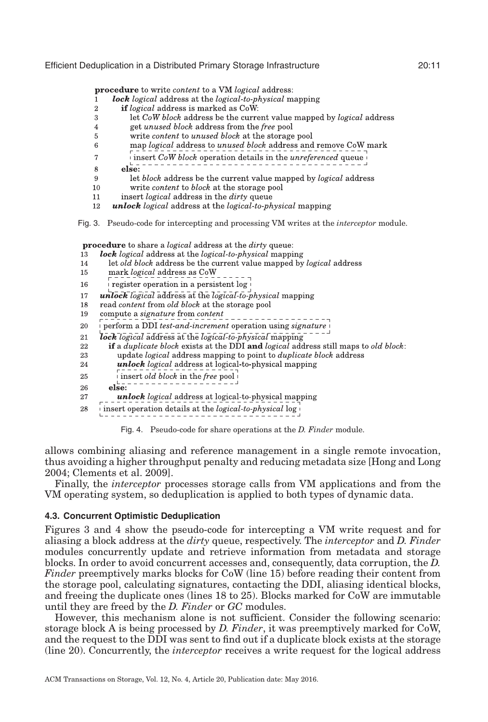<span id="page-10-0"></span>**procedure** to write *content* to a VM *logical* address:

- lock logical address at the logical-to-physical mapping  $\mathbf{1}$
- **if** logical address is marked as CoW:  $\overline{2}$
- let CoW block address be the current value mapped by logical address 3
- $\overline{4}$ get *unused block* address from the *free* pool
- write content to unused block at the storage pool 5
- 6 map logical address to unused block address and remove CoW mark
- $\overline{7}$ i insert CoW block operation details in the *unreferenced* queue
- $\overline{else:}$ 8
- let block address be the current value mapped by logical address 9
- 10 write *content* to *block* at the storage pool
- insert logical address in the dirty queue  $11$
- **unlock** logical address at the logical-to-physical mapping 12

Fig. 3. Pseudo-code for intercepting and processing VM writes at the *interceptor* module.

procedure to share a *logical* address at the *dirty* queue:

- <span id="page-10-1"></span>13 lock logical address at the logical-to-physical mapping
- let old block address be the current value mapped by logical address  $14$
- mark logical address as CoW 15
- register operation in a persistent log 16
- unlock logical address at the logical to-physical mapping 17
- read content from old block at the storage pool 18
- 19 compute a signature from content
- 20 perform a DDI test-and-increment operation using signature
- $lock$  logical address at the  $logical$ -to- $phvsical$  mapping 21
- if a *duplicate block* exists at the DDI and *logical* address still maps to *old block*: 22
- 23 update *logical* address mapping to point to *duplicate block* address
- unlock logical address at logical-to-physical mapping 24
- insert old block in the free pool 25
- ${\rm else:}^-$ 26
- 27 unlock logical address at logical to-physical mapping
- insert operation details at the *logical-to-physical*  $\log |\theta|$ 28

<span id="page-10-2"></span>Fig. 4. Pseudo-code for share operations at the *D. Finder* module.

allows combining aliasing and reference management in a single remote invocation, thus avoiding a higher throughput penalty and reducing metadata size [Hong and Long [2004;](#page-32-3) Clements et al. [2009\]](#page-32-4).

Finally, the *interceptor* processes storage calls from VM applications and from the VM operating system, so deduplication is applied to both types of dynamic data.

# **4.3. Concurrent Optimistic Deduplication**

Figures [3](#page-10-0) and [4](#page-10-1) show the pseudo-code for intercepting a VM write request and for aliasing a block address at the *dirty* queue, respectively. The *interceptor* and *D. Finder* modules concurrently update and retrieve information from metadata and storage blocks. In order to avoid concurrent accesses and, consequently, data corruption, the *D. Finder* preemptively marks blocks for CoW (line 15) before reading their content from the storage pool, calculating signatures, contacting the DDI, aliasing identical blocks, and freeing the duplicate ones (lines 18 to 25). Blocks marked for CoW are immutable until they are freed by the *D. Finder* or *GC* modules.

However, this mechanism alone is not sufficient. Consider the following scenario: storage block A is being processed by *D. Finder*, it was preemptively marked for CoW, and the request to the DDI was sent to find out if a duplicate block exists at the storage (line 20). Concurrently, the *interceptor* receives a write request for the logical address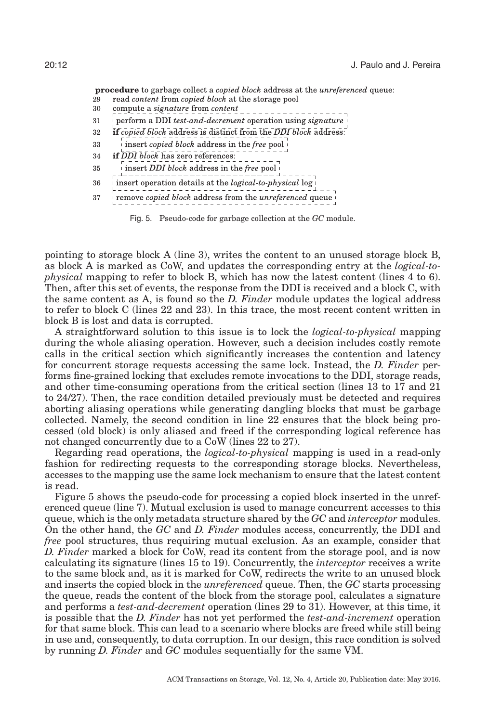<span id="page-11-0"></span>**procedure** to garbage collect a *copied block* address at the *unreferenced* queue: read content from copied block at the storage pool 29

- 30
- compute a signature from content
- $\stackrel{\text{{\tiny \textsf{i}}}}{\mid}$  perform a DDI *test-and-decrement* operation using signature  $\stackrel{\text{{\tiny \textsf{i}}}}{\mid}$ 31
- if copied block address is distinct from the DDI block address: 32
- insert *copied block* address in the *free* pool 33
- if DDI block has zero references: 34
- insert *DDI* block address in the free pool 35
- insert operation details at the *logical-to-physical* log i 36
- 

37

Fig. 5. Pseudo-code for garbage collection at the *GC* module.

pointing to storage block A (line 3), writes the content to an unused storage block B, as block A is marked as CoW, and updates the corresponding entry at the *logical-tophysical* mapping to refer to block B, which has now the latest content (lines 4 to 6). Then, after this set of events, the response from the DDI is received and a block C, with the same content as A, is found so the *D. Finder* module updates the logical address to refer to block C (lines 22 and 23). In this trace, the most recent content written in block B is lost and data is corrupted.

A straightforward solution to this issue is to lock the *logical-to-physical* mapping during the whole aliasing operation. However, such a decision includes costly remote calls in the critical section which significantly increases the contention and latency for concurrent storage requests accessing the same lock. Instead, the *D. Finder* performs fine-grained locking that excludes remote invocations to the DDI, storage reads, and other time-consuming operations from the critical section (lines 13 to 17 and 21 to 24/27). Then, the race condition detailed previously must be detected and requires aborting aliasing operations while generating dangling blocks that must be garbage collected. Namely, the second condition in line 22 ensures that the block being processed (old block) is only aliased and freed if the corresponding logical reference has not changed concurrently due to a CoW (lines 22 to 27).

Regarding read operations, the *logical-to-physical* mapping is used in a read-only fashion for redirecting requests to the corresponding storage blocks. Nevertheless, accesses to the mapping use the same lock mechanism to ensure that the latest content is read.

Figure [5](#page-11-0) shows the pseudo-code for processing a copied block inserted in the unreferenced queue (line 7). Mutual exclusion is used to manage concurrent accesses to this queue, which is the only metadata structure shared by the *GC* and *interceptor* modules. On the other hand, the *GC* and *D. Finder* modules access, concurrently, the DDI and *free* pool structures, thus requiring mutual exclusion. As an example, consider that *D. Finder* marked a block for CoW, read its content from the storage pool, and is now calculating its signature (lines 15 to 19). Concurrently, the *interceptor* receives a write to the same block and, as it is marked for CoW, redirects the write to an unused block and inserts the copied block in the *unreferenced* queue. Then, the *GC* starts processing the queue, reads the content of the block from the storage pool, calculates a signature and performs a *test-and-decrement* operation (lines 29 to 31). However, at this time, it is possible that the *D. Finder* has not yet performed the *test-and-increment* operation for that same block. This can lead to a scenario where blocks are freed while still being in use and, consequently, to data corruption. In our design, this race condition is solved by running *D. Finder* and *GC* modules sequentially for the same VM.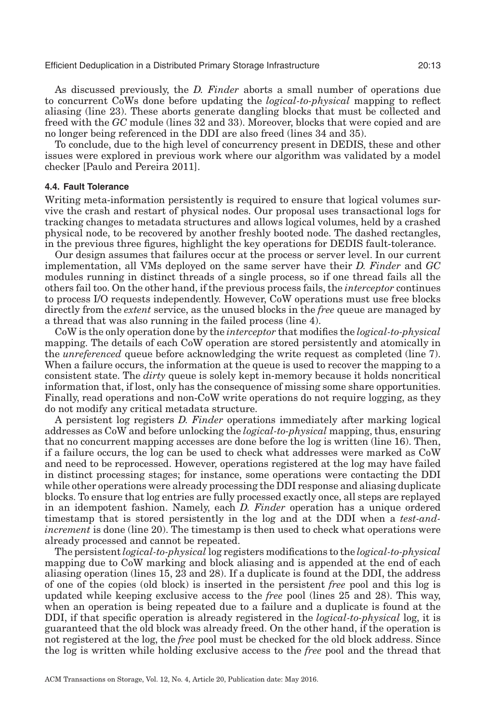As discussed previously, the *D. Finder* aborts a small number of operations due to concurrent CoWs done before updating the *logical-to-physical* mapping to reflect aliasing (line 23). These aborts generate dangling blocks that must be collected and freed with the *GC* module (lines 32 and 33). Moreover, blocks that were copied and are no longer being referenced in the DDI are also freed (lines 34 and 35).

To conclude, due to the high level of concurrency present in DEDIS, these and other issues were explored in previous work where our algorithm was validated by a model checker [Paulo and Pereira [2011\]](#page-33-21).

# **4.4. Fault Tolerance**

Writing meta-information persistently is required to ensure that logical volumes survive the crash and restart of physical nodes. Our proposal uses transactional logs for tracking changes to metadata structures and allows logical volumes, held by a crashed physical node, to be recovered by another freshly booted node. The dashed rectangles, in the previous three figures, highlight the key operations for DEDIS fault-tolerance.

Our design assumes that failures occur at the process or server level. In our current implementation, all VMs deployed on the same server have their *D. Finder* and *GC* modules running in distinct threads of a single process, so if one thread fails all the others fail too. On the other hand, if the previous process fails, the *interceptor* continues to process I/O requests independently. However, CoW operations must use free blocks directly from the *extent* service, as the unused blocks in the *free* queue are managed by a thread that was also running in the failed process (line 4).

CoW is the only operation done by the *interceptor* that modifies the *logical-to-physical* mapping. The details of each CoW operation are stored persistently and atomically in the *unreferenced* queue before acknowledging the write request as completed (line 7). When a failure occurs, the information at the queue is used to recover the mapping to a consistent state. The *dirty* queue is solely kept in-memory because it holds noncritical information that, if lost, only has the consequence of missing some share opportunities. Finally, read operations and non-CoW write operations do not require logging, as they do not modify any critical metadata structure.

A persistent log registers *D. Finder* operations immediately after marking logical addresses as CoW and before unlocking the *logical-to-physical* mapping, thus, ensuring that no concurrent mapping accesses are done before the log is written (line 16). Then, if a failure occurs, the log can be used to check what addresses were marked as CoW and need to be reprocessed. However, operations registered at the log may have failed in distinct processing stages; for instance, some operations were contacting the DDI while other operations were already processing the DDI response and aliasing duplicate blocks. To ensure that log entries are fully processed exactly once, all steps are replayed in an idempotent fashion. Namely, each *D. Finder* operation has a unique ordered timestamp that is stored persistently in the log and at the DDI when a *test-andincrement* is done (line 20). The timestamp is then used to check what operations were already processed and cannot be repeated.

The persistent*logical-to-physical* log registers modifications to the *logical-to-physical* mapping due to CoW marking and block aliasing and is appended at the end of each aliasing operation (lines 15, 23 and 28). If a duplicate is found at the DDI, the address of one of the copies (old block) is inserted in the persistent *free* pool and this log is updated while keeping exclusive access to the *free* pool (lines 25 and 28). This way, when an operation is being repeated due to a failure and a duplicate is found at the DDI, if that specific operation is already registered in the *logical-to-physical* log, it is guaranteed that the old block was already freed. On the other hand, if the operation is not registered at the log, the *free* pool must be checked for the old block address. Since the log is written while holding exclusive access to the *free* pool and the thread that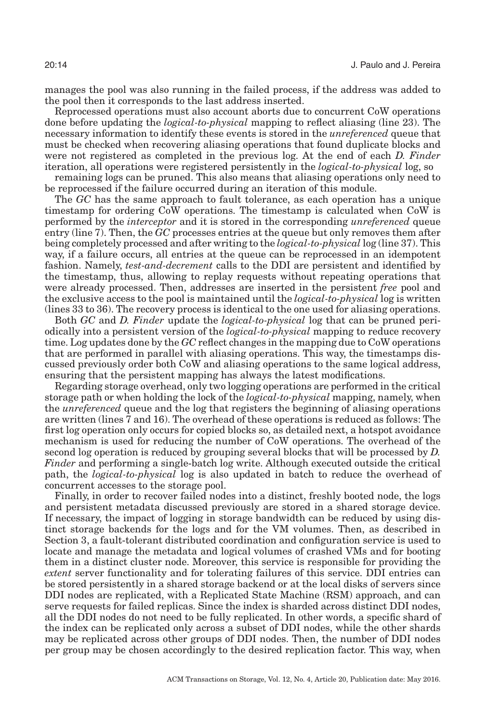manages the pool was also running in the failed process, if the address was added to the pool then it corresponds to the last address inserted.

Reprocessed operations must also account aborts due to concurrent CoW operations done before updating the *logical-to-physical* mapping to reflect aliasing (line 23). The necessary information to identify these events is stored in the *unreferenced* queue that must be checked when recovering aliasing operations that found duplicate blocks and were not registered as completed in the previous log. At the end of each *D. Finder* iteration, all operations were registered persistently in the *logical-to-physical* log, so

remaining logs can be pruned. This also means that aliasing operations only need to be reprocessed if the failure occurred during an iteration of this module.

The *GC* has the same approach to fault tolerance, as each operation has a unique timestamp for ordering CoW operations. The timestamp is calculated when CoW is performed by the *interceptor* and it is stored in the corresponding *unreferenced* queue entry (line 7). Then, the *GC* processes entries at the queue but only removes them after being completely processed and after writing to the *logical-to-physical* log (line 37). This way, if a failure occurs, all entries at the queue can be reprocessed in an idempotent fashion. Namely, *test-and-decrement* calls to the DDI are persistent and identified by the timestamp, thus, allowing to replay requests without repeating operations that were already processed. Then, addresses are inserted in the persistent *free* pool and the exclusive access to the pool is maintained until the *logical-to-physical* log is written (lines 33 to 36). The recovery process is identical to the one used for aliasing operations.

Both *GC* and *D. Finder* update the *logical-to-physical* log that can be pruned periodically into a persistent version of the *logical-to-physical* mapping to reduce recovery time. Log updates done by the *GC* reflect changes in the mapping due to CoW operations that are performed in parallel with aliasing operations. This way, the timestamps discussed previously order both CoW and aliasing operations to the same logical address, ensuring that the persistent mapping has always the latest modifications.

Regarding storage overhead, only two logging operations are performed in the critical storage path or when holding the lock of the *logical-to-physical* mapping, namely, when the *unreferenced* queue and the log that registers the beginning of aliasing operations are written (lines 7 and 16). The overhead of these operations is reduced as follows: The first log operation only occurs for copied blocks so, as detailed next, a hotspot avoidance mechanism is used for reducing the number of CoW operations. The overhead of the second log operation is reduced by grouping several blocks that will be processed by *D. Finder* and performing a single-batch log write. Although executed outside the critical path, the *logical-to-physical* log is also updated in batch to reduce the overhead of concurrent accesses to the storage pool.

Finally, in order to recover failed nodes into a distinct, freshly booted node, the logs and persistent metadata discussed previously are stored in a shared storage device. If necessary, the impact of logging in storage bandwidth can be reduced by using distinct storage backends for the logs and for the VM volumes. Then, as described in Section [3,](#page-6-0) a fault-tolerant distributed coordination and configuration service is used to locate and manage the metadata and logical volumes of crashed VMs and for booting them in a distinct cluster node. Moreover, this service is responsible for providing the *extent* server functionality and for tolerating failures of this service. DDI entries can be stored persistently in a shared storage backend or at the local disks of servers since DDI nodes are replicated, with a Replicated State Machine (RSM) approach, and can serve requests for failed replicas. Since the index is sharded across distinct DDI nodes, all the DDI nodes do not need to be fully replicated. In other words, a specific shard of the index can be replicated only across a subset of DDI nodes, while the other shards may be replicated across other groups of DDI nodes. Then, the number of DDI nodes per group may be chosen accordingly to the desired replication factor. This way, when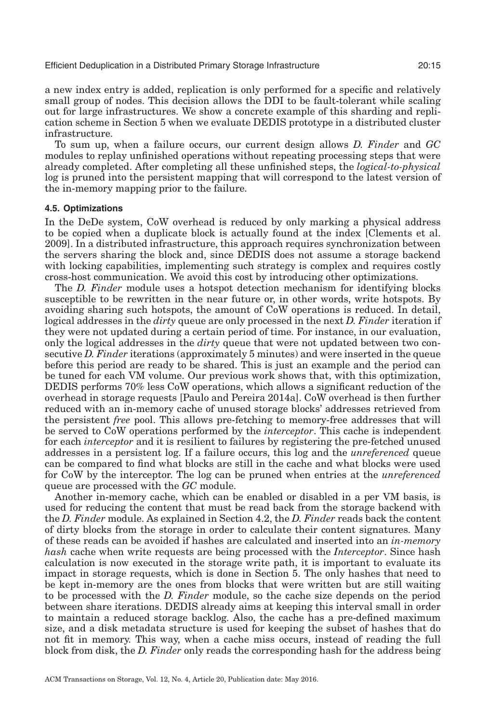a new index entry is added, replication is only performed for a specific and relatively small group of nodes. This decision allows the DDI to be fault-tolerant while scaling out for large infrastructures. We show a concrete example of this sharding and replication scheme in Section [5](#page-16-0) when we evaluate DEDIS prototype in a distributed cluster infrastructure.

To sum up, when a failure occurs, our current design allows *D. Finder* and *GC* modules to replay unfinished operations without repeating processing steps that were already completed. After completing all these unfinished steps, the *logical-to-physical* log is pruned into the persistent mapping that will correspond to the latest version of the in-memory mapping prior to the failure.

#### **4.5. Optimizations**

<span id="page-14-0"></span>In the DeDe system, CoW overhead is reduced by only marking a physical address to be copied when a duplicate block is actually found at the index [Clements et al. [2009\]](#page-32-4). In a distributed infrastructure, this approach requires synchronization between the servers sharing the block and, since DEDIS does not assume a storage backend with locking capabilities, implementing such strategy is complex and requires costly cross-host communication. We avoid this cost by introducing other optimizations.

The *D. Finder* module uses a hotspot detection mechanism for identifying blocks susceptible to be rewritten in the near future or, in other words, write hotspots. By avoiding sharing such hotspots, the amount of CoW operations is reduced. In detail, logical addresses in the *dirty* queue are only processed in the next *D. Finder* iteration if they were not updated during a certain period of time. For instance, in our evaluation, only the logical addresses in the *dirty* queue that were not updated between two consecutive *D. Finder* iterations (approximately 5 minutes) and were inserted in the queue before this period are ready to be shared. This is just an example and the period can be tuned for each VM volume. Our previous work shows that, with this optimization, DEDIS performs 70% less CoW operations, which allows a significant reduction of the overhead in storage requests [Paulo and Pereira [2014a\]](#page-33-12). CoW overhead is then further reduced with an in-memory cache of unused storage blocks' addresses retrieved from the persistent *free* pool. This allows pre-fetching to memory-free addresses that will be served to CoW operations performed by the *interceptor*. This cache is independent for each *interceptor* and it is resilient to failures by registering the pre-fetched unused addresses in a persistent log. If a failure occurs, this log and the *unreferenced* queue can be compared to find what blocks are still in the cache and what blocks were used for CoW by the interceptor. The log can be pruned when entries at the *unreferenced* queue are processed with the *GC* module.

Another in-memory cache, which can be enabled or disabled in a per VM basis, is used for reducing the content that must be read back from the storage backend with the *D. Finder* module. As explained in Section [4.2,](#page-9-0) the *D. Finder* reads back the content of dirty blocks from the storage in order to calculate their content signatures. Many of these reads can be avoided if hashes are calculated and inserted into an *in-memory hash* cache when write requests are being processed with the *Interceptor*. Since hash calculation is now executed in the storage write path, it is important to evaluate its impact in storage requests, which is done in Section [5.](#page-16-0) The only hashes that need to be kept in-memory are the ones from blocks that were written but are still waiting to be processed with the *D. Finder* module, so the cache size depends on the period between share iterations. DEDIS already aims at keeping this interval small in order to maintain a reduced storage backlog. Also, the cache has a pre-defined maximum size, and a disk metadata structure is used for keeping the subset of hashes that do not fit in memory. This way, when a cache miss occurs, instead of reading the full block from disk, the *D. Finder* only reads the corresponding hash for the address being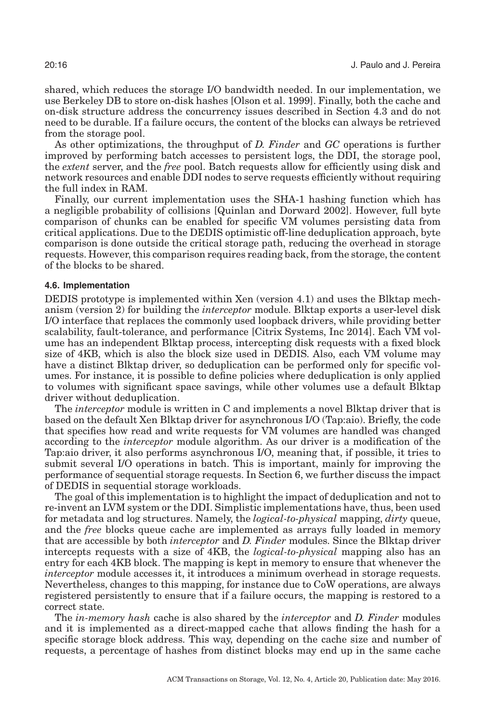shared, which reduces the storage I/O bandwidth needed. In our implementation, we use Berkeley DB to store on-disk hashes [Olson et al. [1999\]](#page-33-22). Finally, both the cache and on-disk structure address the concurrency issues described in Section [4.3](#page-10-2) and do not need to be durable. If a failure occurs, the content of the blocks can always be retrieved from the storage pool.

As other optimizations, the throughput of *D. Finder* and *GC* operations is further improved by performing batch accesses to persistent logs, the DDI, the storage pool, the *extent* server, and the *free* pool. Batch requests allow for efficiently using disk and network resources and enable DDI nodes to serve requests efficiently without requiring the full index in RAM.

Finally, our current implementation uses the SHA-1 hashing function which has a negligible probability of collisions [Quinlan and Dorward [2002\]](#page-33-7). However, full byte comparison of chunks can be enabled for specific VM volumes persisting data from critical applications. Due to the DEDIS optimistic off-line deduplication approach, byte comparison is done outside the critical storage path, reducing the overhead in storage requests. However, this comparison requires reading back, from the storage, the content of the blocks to be shared.

#### **4.6. Implementation**

DEDIS prototype is implemented within Xen (version 4.1) and uses the Blktap mechanism (version 2) for building the *interceptor* module. Blktap exports a user-level disk I/O interface that replaces the commonly used loopback drivers, while providing better scalability, fault-tolerance, and performance [Citrix Systems, Inc [2014\]](#page-32-10). Each VM volume has an independent Blktap process, intercepting disk requests with a fixed block size of 4KB, which is also the block size used in DEDIS. Also, each VM volume may have a distinct Blktap driver, so deduplication can be performed only for specific volumes. For instance, it is possible to define policies where deduplication is only applied to volumes with significant space savings, while other volumes use a default Blktap driver without deduplication.

The *interceptor* module is written in C and implements a novel Blktap driver that is based on the default Xen Blktap driver for asynchronous I/O (Tap:aio). Briefly, the code that specifies how read and write requests for VM volumes are handled was changed according to the *interceptor* module algorithm. As our driver is a modification of the Tap:aio driver, it also performs asynchronous I/O, meaning that, if possible, it tries to submit several I/O operations in batch. This is important, mainly for improving the performance of sequential storage requests. In Section [6,](#page-30-0) we further discuss the impact of DEDIS in sequential storage workloads.

The goal of this implementation is to highlight the impact of deduplication and not to re-invent an LVM system or the DDI. Simplistic implementations have, thus, been used for metadata and log structures. Namely, the *logical-to-physical* mapping, *dirty* queue, and the *free* blocks queue cache are implemented as arrays fully loaded in memory that are accessible by both *interceptor* and *D. Finder* modules. Since the Blktap driver intercepts requests with a size of 4KB, the *logical-to-physical* mapping also has an entry for each 4KB block. The mapping is kept in memory to ensure that whenever the *interceptor* module accesses it, it introduces a minimum overhead in storage requests. Nevertheless, changes to this mapping, for instance due to CoW operations, are always registered persistently to ensure that if a failure occurs, the mapping is restored to a correct state.

The *in-memory hash* cache is also shared by the *interceptor* and *D. Finder* modules and it is implemented as a direct-mapped cache that allows finding the hash for a specific storage block address. This way, depending on the cache size and number of requests, a percentage of hashes from distinct blocks may end up in the same cache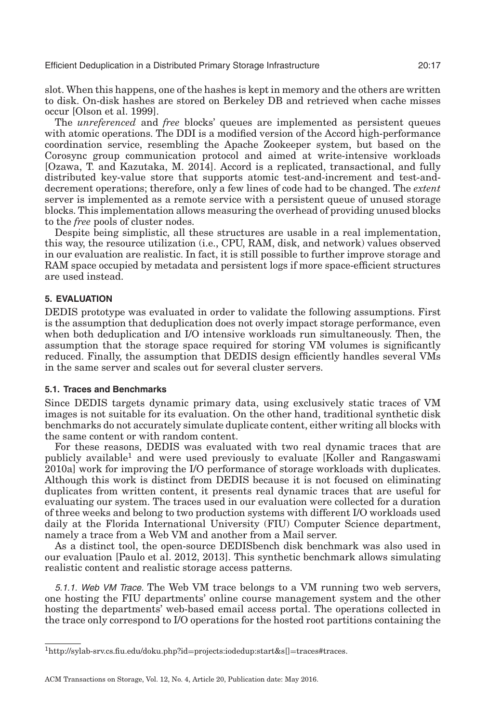slot. When this happens, one of the hashes is kept in memory and the others are written to disk. On-disk hashes are stored on Berkeley DB and retrieved when cache misses occur [Olson et al. [1999\]](#page-33-22).

The *unreferenced* and *free* blocks' queues are implemented as persistent queues with atomic operations. The DDI is a modified version of the Accord high-performance coordination service, resembling the Apache Zookeeper system, but based on the Corosync group communication protocol and aimed at write-intensive workloads [Ozawa, T. and Kazutaka, M. [2014\]](#page-33-23). Accord is a replicated, transactional, and fully distributed key-value store that supports atomic test-and-increment and test-anddecrement operations; therefore, only a few lines of code had to be changed. The *extent* server is implemented as a remote service with a persistent queue of unused storage blocks. This implementation allows measuring the overhead of providing unused blocks to the *free* pools of cluster nodes.

Despite being simplistic, all these structures are usable in a real implementation, this way, the resource utilization (i.e., CPU, RAM, disk, and network) values observed in our evaluation are realistic. In fact, it is still possible to further improve storage and RAM space occupied by metadata and persistent logs if more space-efficient structures are used instead.

# **5. EVALUATION**

<span id="page-16-0"></span>DEDIS prototype was evaluated in order to validate the following assumptions. First is the assumption that deduplication does not overly impact storage performance, even when both deduplication and I/O intensive workloads run simultaneously. Then, the assumption that the storage space required for storing VM volumes is significantly reduced. Finally, the assumption that DEDIS design efficiently handles several VMs in the same server and scales out for several cluster servers.

# **5.1. Traces and Benchmarks**

Since DEDIS targets dynamic primary data, using exclusively static traces of VM images is not suitable for its evaluation. On the other hand, traditional synthetic disk benchmarks do not accurately simulate duplicate content, either writing all blocks with the same content or with random content.

For these reasons, DEDIS was evaluated with two real dynamic traces that are publicly available<sup>1</sup> and were used previously to evaluate [Koller and Rangaswami [2010a\]](#page-33-3) work for improving the I/O performance of storage workloads with duplicates. Although this work is distinct from DEDIS because it is not focused on eliminating duplicates from written content, it presents real dynamic traces that are useful for evaluating our system. The traces used in our evaluation were collected for a duration of three weeks and belong to two production systems with different I/O workloads used daily at the Florida International University (FIU) Computer Science department, namely a trace from a Web VM and another from a Mail server.

As a distinct tool, the open-source DEDISbench disk benchmark was also used in our evaluation [Paulo et al. [2012,](#page-33-24) [2013\]](#page-33-25). This synthetic benchmark allows simulating realistic content and realistic storage access patterns.

5.1.1. Web VM Trace. The Web VM trace belongs to a VM running two web servers, one hosting the FIU departments' online course management system and the other hosting the departments' web-based email access portal. The operations collected in the trace only correspond to I/O operations for the hosted root partitions containing the

<span id="page-16-1"></span>[<sup>1</sup>http://sylab-srv.cs.fiu.edu/doku.php?id](http://sylab-srv.cs.fiu.edu/doku.php?id$=$projects:iodedup:start&s{char )=projects:iodedup:start&s[]=traces#traces.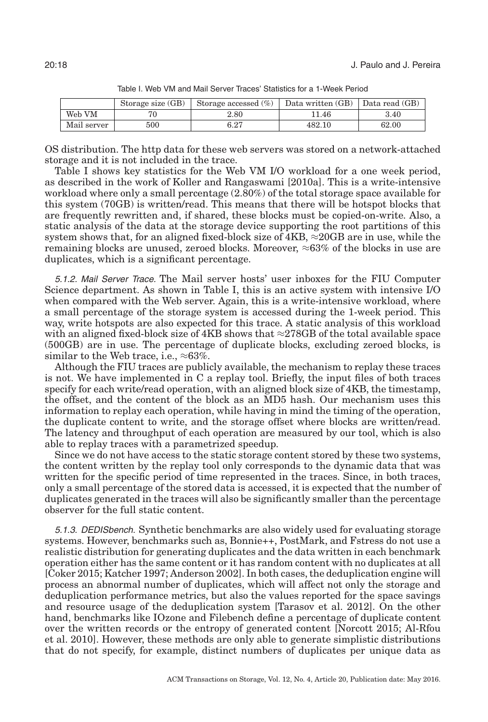<span id="page-17-0"></span>

|             | Storage size (GB) | Storage accessed $(\%)$ | Data written (GB) | Data read (GB) |
|-------------|-------------------|-------------------------|-------------------|----------------|
| Web VM      |                   | $2.80\,$                | 11.46             | 3.40           |
| Mail server | 500               | $6.27\,$                | 482.10            | 62.00          |

Table I. Web VM and Mail Server Traces' Statistics for a 1-Week Period

OS distribution. The http data for these web servers was stored on a network-attached storage and it is not included in the trace.

Table [I](#page-17-0) shows key statistics for the Web VM I/O workload for a one week period, as described in the work of Koller and Rangaswami [\[2010a\]](#page-33-3). This is a write-intensive workload where only a small percentage (2.80%) of the total storage space available for this system (70GB) is written/read. This means that there will be hotspot blocks that are frequently rewritten and, if shared, these blocks must be copied-on-write. Also, a static analysis of the data at the storage device supporting the root partitions of this system shows that, for an aligned fixed-block size of  $4KB$ ,  $\approx$  20GB are in use, while the remaining blocks are unused, zeroed blocks. Moreover,  $\approx 63\%$  of the blocks in use are duplicates, which is a significant percentage.

5.1.2. Mail Server Trace. The Mail server hosts' user inboxes for the FIU Computer Science department. As shown in Table [I,](#page-17-0) this is an active system with intensive I/O when compared with the Web server. Again, this is a write-intensive workload, where a small percentage of the storage system is accessed during the 1-week period. This way, write hotspots are also expected for this trace. A static analysis of this workload with an aligned fixed-block size of 4KB shows that  $\approx$ 278GB of the total available space (500GB) are in use. The percentage of duplicate blocks, excluding zeroed blocks, is similar to the Web trace, i.e.,  $\approx 63\%$ .

Although the FIU traces are publicly available, the mechanism to replay these traces is not. We have implemented in C a replay tool. Briefly, the input files of both traces specify for each write/read operation, with an aligned block size of 4KB, the timestamp, the offset, and the content of the block as an MD5 hash. Our mechanism uses this information to replay each operation, while having in mind the timing of the operation, the duplicate content to write, and the storage offset where blocks are written/read. The latency and throughput of each operation are measured by our tool, which is also able to replay traces with a parametrized speedup.

Since we do not have access to the static storage content stored by these two systems, the content written by the replay tool only corresponds to the dynamic data that was written for the specific period of time represented in the traces. Since, in both traces, only a small percentage of the stored data is accessed, it is expected that the number of duplicates generated in the traces will also be significantly smaller than the percentage observer for the full static content.

5.1.3. DEDISbench. Synthetic benchmarks are also widely used for evaluating storage systems. However, benchmarks such as, Bonnie++, PostMark, and Fstress do not use a realistic distribution for generating duplicates and the data written in each benchmark operation either has the same content or it has random content with no duplicates at all [Coker [2015;](#page-32-17) Katcher [1997;](#page-33-26) Anderson [2002\]](#page-32-18). In both cases, the deduplication engine will process an abnormal number of duplicates, which will affect not only the storage and deduplication performance metrics, but also the values reported for the space savings and resource usage of the deduplication system [Tarasov et al. [2012\]](#page-34-9). On the other hand, benchmarks like IOzone and Filebench define a percentage of duplicate content over the written records or the entropy of generated content [Norcott [2015;](#page-33-27) Al-Rfou et al. [2010\]](#page-32-19). However, these methods are only able to generate simplistic distributions that do not specify, for example, distinct numbers of duplicates per unique data as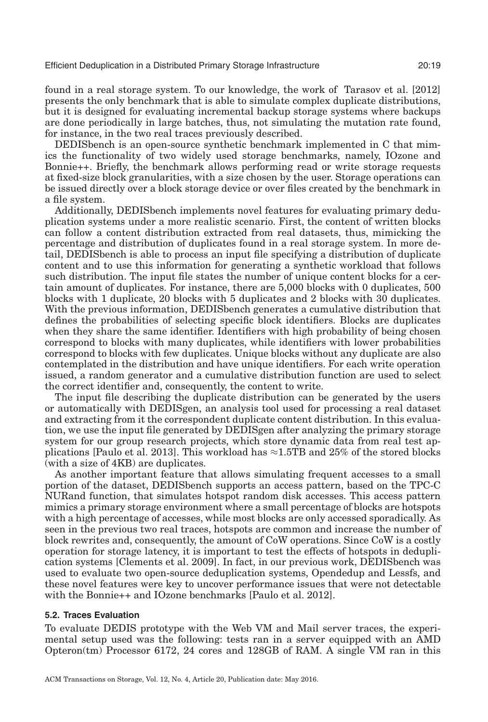found in a real storage system. To our knowledge, the work of Tarasov et al. [\[2012\]](#page-34-9) presents the only benchmark that is able to simulate complex duplicate distributions, but it is designed for evaluating incremental backup storage systems where backups are done periodically in large batches, thus, not simulating the mutation rate found, for instance, in the two real traces previously described.

DEDISbench is an open-source synthetic benchmark implemented in C that mimics the functionality of two widely used storage benchmarks, namely, IOzone and Bonnie++. Briefly, the benchmark allows performing read or write storage requests at fixed-size block granularities, with a size chosen by the user. Storage operations can be issued directly over a block storage device or over files created by the benchmark in a file system.

Additionally, DEDISbench implements novel features for evaluating primary deduplication systems under a more realistic scenario. First, the content of written blocks can follow a content distribution extracted from real datasets, thus, mimicking the percentage and distribution of duplicates found in a real storage system. In more detail, DEDISbench is able to process an input file specifying a distribution of duplicate content and to use this information for generating a synthetic workload that follows such distribution. The input file states the number of unique content blocks for a certain amount of duplicates. For instance, there are 5,000 blocks with 0 duplicates, 500 blocks with 1 duplicate, 20 blocks with 5 duplicates and 2 blocks with 30 duplicates. With the previous information, DEDISbench generates a cumulative distribution that defines the probabilities of selecting specific block identifiers. Blocks are duplicates when they share the same identifier. Identifiers with high probability of being chosen correspond to blocks with many duplicates, while identifiers with lower probabilities correspond to blocks with few duplicates. Unique blocks without any duplicate are also contemplated in the distribution and have unique identifiers. For each write operation issued, a random generator and a cumulative distribution function are used to select the correct identifier and, consequently, the content to write.

The input file describing the duplicate distribution can be generated by the users or automatically with DEDISgen, an analysis tool used for processing a real dataset and extracting from it the correspondent duplicate content distribution. In this evaluation, we use the input file generated by DEDISgen after analyzing the primary storage system for our group research projects, which store dynamic data from real test ap-plications [Paulo et al. [2013\]](#page-33-25). This workload has  $\approx$ 1.5TB and 25% of the stored blocks (with a size of 4KB) are duplicates.

As another important feature that allows simulating frequent accesses to a small portion of the dataset, DEDISbench supports an access pattern, based on the TPC-C NURand function, that simulates hotspot random disk accesses. This access pattern mimics a primary storage environment where a small percentage of blocks are hotspots with a high percentage of accesses, while most blocks are only accessed sporadically. As seen in the previous two real traces, hotspots are common and increase the number of block rewrites and, consequently, the amount of CoW operations. Since CoW is a costly operation for storage latency, it is important to test the effects of hotspots in deduplication systems [Clements et al. [2009\]](#page-32-4). In fact, in our previous work, DEDISbench was used to evaluate two open-source deduplication systems, Opendedup and Lessfs, and these novel features were key to uncover performance issues that were not detectable with the Bonnie++ and IOzone benchmarks [Paulo et al. [2012\]](#page-33-24).

# **5.2. Traces Evaluation**

To evaluate DEDIS prototype with the Web VM and Mail server traces, the experimental setup used was the following: tests ran in a server equipped with an AMD Opteron(tm) Processor 6172, 24 cores and 128GB of RAM. A single VM ran in this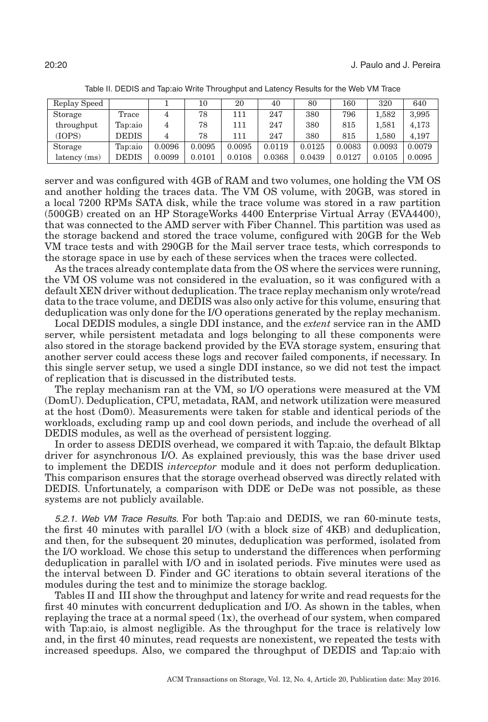<span id="page-19-0"></span>

| Replay Speed |         |        | 10     | 20     | 40     | 80     | 160    | 320    | 640    |
|--------------|---------|--------|--------|--------|--------|--------|--------|--------|--------|
| Storage      | Trace   | 4      | 78     | 111    | 247    | 380    | 796    | 1.582  | 3,995  |
| throughput   | Tap:aio |        | 78     | 111    | 247    | 380    | 815    | 1.581  | 4,173  |
| (IOPS)       | DEDIS   |        | 78     | 111    | 247    | 380    | 815    | 1.580  | 4.197  |
| Storage      | Tap:aio | 0.0096 | 0.0095 | 0.0095 | 0.0119 | 0.0125 | 0.0083 | 0.0093 | 0.0079 |
| latency (ms) | DEDIS   | 0.0099 | 0.0101 | 0.0108 | 0.0368 | 0.0439 | 0.0127 | 0.0105 | 0.0095 |

Table II. DEDIS and Tap:aio Write Throughput and Latency Results for the Web VM Trace

server and was configured with 4GB of RAM and two volumes, one holding the VM OS and another holding the traces data. The VM OS volume, with 20GB, was stored in a local 7200 RPMs SATA disk, while the trace volume was stored in a raw partition (500GB) created on an HP StorageWorks 4400 Enterprise Virtual Array (EVA4400), that was connected to the AMD server with Fiber Channel. This partition was used as the storage backend and stored the trace volume, configured with 20GB for the Web VM trace tests and with 290GB for the Mail server trace tests, which corresponds to the storage space in use by each of these services when the traces were collected.

As the traces already contemplate data from the OS where the services were running, the VM OS volume was not considered in the evaluation, so it was configured with a default XEN driver without deduplication. The trace replay mechanism only wrote/read data to the trace volume, and DEDIS was also only active for this volume, ensuring that deduplication was only done for the I/O operations generated by the replay mechanism.

Local DEDIS modules, a single DDI instance, and the *extent* service ran in the AMD server, while persistent metadata and logs belonging to all these components were also stored in the storage backend provided by the EVA storage system, ensuring that another server could access these logs and recover failed components, if necessary. In this single server setup, we used a single DDI instance, so we did not test the impact of replication that is discussed in the distributed tests.

The replay mechanism ran at the VM, so I/O operations were measured at the VM (DomU). Deduplication, CPU, metadata, RAM, and network utilization were measured at the host (Dom0). Measurements were taken for stable and identical periods of the workloads, excluding ramp up and cool down periods, and include the overhead of all DEDIS modules, as well as the overhead of persistent logging.

In order to assess DEDIS overhead, we compared it with Tap:aio, the default Blktap driver for asynchronous I/O. As explained previously, this was the base driver used to implement the DEDIS *interceptor* module and it does not perform deduplication. This comparison ensures that the storage overhead observed was directly related with DEDIS. Unfortunately, a comparison with DDE or DeDe was not possible, as these systems are not publicly available.

5.2.1. Web VM Trace Results. For both Tap:aio and DEDIS, we ran 60-minute tests, the first 40 minutes with parallel I/O (with a block size of 4KB) and deduplication, and then, for the subsequent 20 minutes, deduplication was performed, isolated from the I/O workload. We chose this setup to understand the differences when performing deduplication in parallel with I/O and in isolated periods. Five minutes were used as the interval between D. Finder and GC iterations to obtain several iterations of the modules during the test and to minimize the storage backlog.

Tables [II](#page-19-0) and [III](#page-20-0) show the throughput and latency for write and read requests for the first 40 minutes with concurrent deduplication and I/O. As shown in the tables, when replaying the trace at a normal speed (1x), the overhead of our system, when compared with Tap:aio, is almost negligible. As the throughput for the trace is relatively low and, in the first 40 minutes, read requests are nonexistent, we repeated the tests with increased speedups. Also, we compared the throughput of DEDIS and Tap:aio with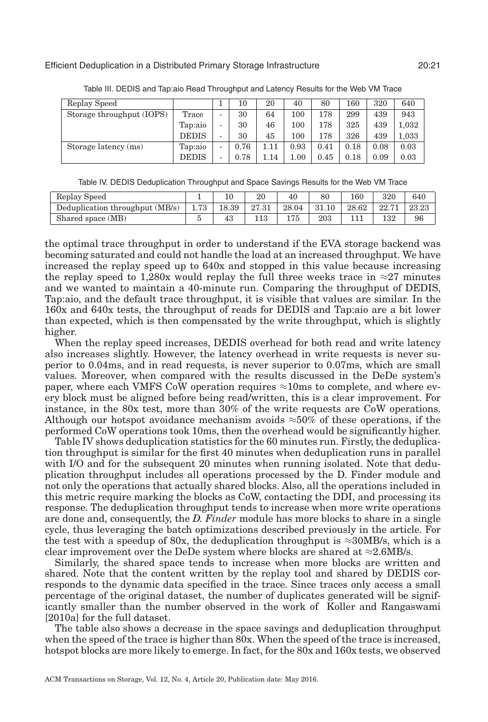<span id="page-20-0"></span>

| Replay Speed              |              |                          | 10   | 20  | 40      | 80   | 160  | 320  | 640   |
|---------------------------|--------------|--------------------------|------|-----|---------|------|------|------|-------|
| Storage throughput (IOPS) | Trace        | $\overline{\phantom{0}}$ | 30   | 64  | $100\,$ | 178  | 299  | 439  | 943   |
|                           | Tap:aio      | $\overline{\phantom{a}}$ | 30   | 46  | $100\,$ | 178  | 325  | 439  | 1.032 |
|                           | <b>DEDIS</b> | $\overline{\phantom{0}}$ | 30   | 45  | $100\,$ | 178  | 326  | 439  | 1.033 |
| Storage latency (ms)      | Tap:aio      | $\overline{\phantom{a}}$ | 0.76 |     | 0.93    | 0.41 | 0.18 | 0.08 | 0.03  |
|                           | <b>DEDIS</b> | -                        | 0.78 | .14 | 1.00    | 0.45 | 0.18 | 0.09 | 0.03  |

Table III. DEDIS and Tap:aio Read Throughput and Latency Results for the Web VM Trace

|  | Table IV. DEDIS Deduplication Throughput and Space Savings Results for the Web VM Trace |
|--|-----------------------------------------------------------------------------------------|
|  |                                                                                         |

<span id="page-20-1"></span>

| Replay Speed                    |      |       | $20\,$ | 40    |       | 160   | 320   | 640   |
|---------------------------------|------|-------|--------|-------|-------|-------|-------|-------|
| Deduplication throughput (MB/s) | 1.73 | 18.39 | 27.31  | 28.04 | 31.10 | 28.62 | 22.71 | 23.23 |
| Shared space (MB)               |      | 43    |        | 175   | 203   |       | 132   | 96    |

the optimal trace throughput in order to understand if the EVA storage backend was becoming saturated and could not handle the load at an increased throughput. We have increased the replay speed up to 640x and stopped in this value because increasing the replay speed to 1,280x would replay the full three weeks trace in  $\approx$ 27 minutes and we wanted to maintain a 40-minute run. Comparing the throughput of DEDIS, Tap:aio, and the default trace throughput, it is visible that values are similar. In the 160x and 640x tests, the throughput of reads for DEDIS and Tap:aio are a bit lower than expected, which is then compensated by the write throughput, which is slightly higher.

When the replay speed increases, DEDIS overhead for both read and write latency also increases slightly. However, the latency overhead in write requests is never superior to 0.04ms, and in read requests, is never superior to 0.07ms, which are small values. Moreover, when compared with the results discussed in the DeDe system's paper, where each VMFS CoW operation requires  $\approx 10$ ms to complete, and where every block must be aligned before being read/written, this is a clear improvement. For instance, in the 80x test, more than 30% of the write requests are CoW operations. Although our hotspot avoidance mechanism avoids  $\approx 50\%$  of these operations, if the performed CoW operations took 10ms, then the overhead would be significantly higher.

Table [IV](#page-20-1) shows deduplication statistics for the 60 minutes run. Firstly, the deduplication throughput is similar for the first 40 minutes when deduplication runs in parallel with I/O and for the subsequent 20 minutes when running isolated. Note that deduplication throughput includes all operations processed by the D. Finder module and not only the operations that actually shared blocks. Also, all the operations included in this metric require marking the blocks as CoW, contacting the DDI, and processing its response. The deduplication throughput tends to increase when more write operations are done and, consequently, the *D. Finder* module has more blocks to share in a single cycle, thus leveraging the batch optimizations described previously in the article. For the test with a speedup of 80x, the deduplication throughput is  $\approx 30MB/s$ , which is a clear improvement over the DeDe system where blocks are shared at  $\approx$  2.6MB/s.

Similarly, the shared space tends to increase when more blocks are written and shared. Note that the content written by the replay tool and shared by DEDIS corresponds to the dynamic data specified in the trace. Since traces only access a small percentage of the original dataset, the number of duplicates generated will be significantly smaller than the number observed in the work of Koller and Rangaswami [\[2010a\]](#page-33-3) for the full dataset.

The table also shows a decrease in the space savings and deduplication throughput when the speed of the trace is higher than 80x. When the speed of the trace is increased, hotspot blocks are more likely to emerge. In fact, for the 80x and 160x tests, we observed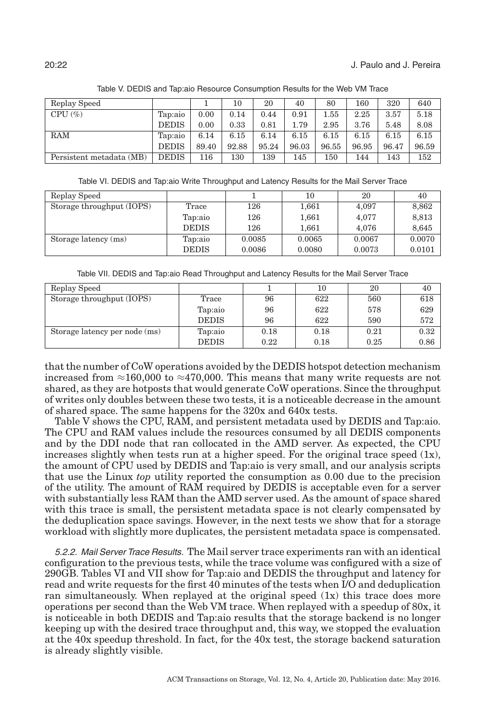<span id="page-21-0"></span>

| Replay Speed             |              |       | 10    | 20    | 40    | 80       | 160   | 320   | 640   |
|--------------------------|--------------|-------|-------|-------|-------|----------|-------|-------|-------|
| $CPU \left( % \right)$   | Tap:aio      | 0.00  | 0.14  | 0.44  | 0.91  | $1.55\,$ | 2.25  | 3.57  | 5.18  |
|                          | <b>DEDIS</b> | 0.00  | 0.33  | 0.81  | 1.79  | 2.95     | 3.76  | 5.48  | 8.08  |
| RAM                      | Tap:aio      | 6.14  | 6.15  | 6.14  | 6.15  | 6.15     | 6.15  | 6.15  | 6.15  |
|                          | <b>DEDIS</b> | 89.40 | 92.88 | 95.24 | 96.03 | 96.55    | 96.95 | 96.47 | 96.59 |
| Persistent metadata (MB) | <b>DEDIS</b> | 116   | 130   | 139   | 145   | 150      | 144   | 143   | 152   |

Table V. DEDIS and Tap:aio Resource Consumption Results for the Web VM Trace

Table VI. DEDIS and Tap:aio Write Throughput and Latency Results for the Mail Server Trace

<span id="page-21-1"></span>

| Replay Speed              |              |        | 10     | 20     | 40     |
|---------------------------|--------------|--------|--------|--------|--------|
| Storage throughput (IOPS) | Trace        | 126    | 1,661  | 4,097  | 8,862  |
|                           | Tap:aio      | 126    | 1,661  | 4,077  | 8,813  |
|                           | <b>DEDIS</b> | 126    | 1.661  | 4.076  | 8,645  |
| Storage latency (ms)      | Tap:aio      | 0.0085 | 0.0065 | 0.0067 | 0.0070 |
|                           | <b>DEDIS</b> | 0.0086 | 0.0080 | 0.0073 | 0.0101 |

Table VII. DEDIS and Tap:aio Read Throughput and Latency Results for the Mail Server Trace

<span id="page-21-2"></span>

| Replay Speed                  |              |      | 10   | 20   | 40   |
|-------------------------------|--------------|------|------|------|------|
| Storage throughput (IOPS)     | Trace        | 96   | 622  | 560  | 618  |
|                               | Tap:aio      | 96   | 622  | 578  | 629  |
|                               | <b>DEDIS</b> | 96   | 622  | 590  | 572  |
| Storage latency per node (ms) | Tap:aio      | 0.18 | 0.18 | 0.21 | 0.32 |
|                               | <b>DEDIS</b> | 0.22 | 0.18 | 0.25 | 0.86 |

that the number of CoW operations avoided by the DEDIS hotspot detection mechanism increased from  $\approx$ 160,000 to  $\approx$ 470,000. This means that many write requests are not shared, as they are hotposts that would generate CoW operations. Since the throughput of writes only doubles between these two tests, it is a noticeable decrease in the amount of shared space. The same happens for the 320x and 640x tests.

Table [V](#page-21-0) shows the CPU, RAM, and persistent metadata used by DEDIS and Tap:aio. The CPU and RAM values include the resources consumed by all DEDIS components and by the DDI node that ran collocated in the AMD server. As expected, the CPU increases slightly when tests run at a higher speed. For the original trace speed  $(1x)$ , the amount of CPU used by DEDIS and Tap:aio is very small, and our analysis scripts that use the Linux *top* utility reported the consumption as 0.00 due to the precision of the utility. The amount of RAM required by DEDIS is acceptable even for a server with substantially less RAM than the AMD server used. As the amount of space shared with this trace is small, the persistent metadata space is not clearly compensated by the deduplication space savings. However, in the next tests we show that for a storage workload with slightly more duplicates, the persistent metadata space is compensated.

5.2.2. Mail Server Trace Results. The Mail server trace experiments ran with an identical configuration to the previous tests, while the trace volume was configured with a size of 290GB. Tables [VI](#page-21-1) and [VII](#page-21-2) show for Tap:aio and DEDIS the throughput and latency for read and write requests for the first 40 minutes of the tests when I/O and deduplication ran simultaneously. When replayed at the original speed  $(1x)$  this trace does more operations per second than the Web VM trace. When replayed with a speedup of 80x, it is noticeable in both DEDIS and Tap:aio results that the storage backend is no longer keeping up with the desired trace throughput and, this way, we stopped the evaluation at the 40x speedup threshold. In fact, for the 40x test, the storage backend saturation is already slightly visible.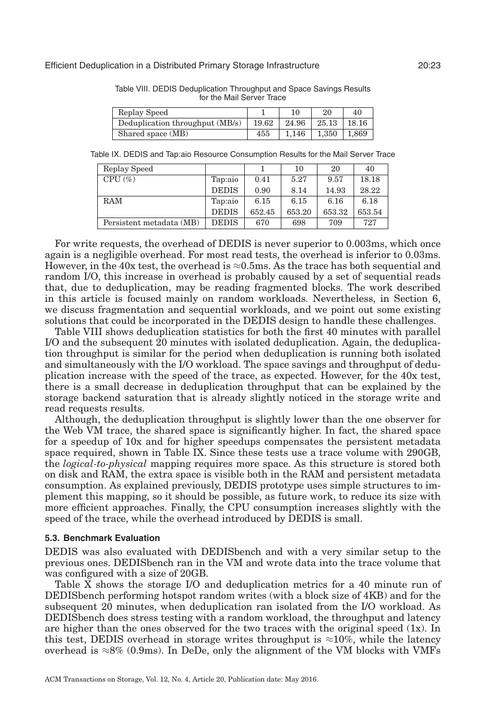| Replay Speed                    |       | 10    | 20    | 40    |
|---------------------------------|-------|-------|-------|-------|
| Deduplication throughput (MB/s) | 19.62 | 24.96 | 25.13 | 18.16 |
| Shared space (MB)               | 455   | 1.146 | 1,350 | 1.869 |

<span id="page-22-0"></span>Table VIII. DEDIS Deduplication Throughput and Space Savings Results for the Mail Server Trace

<span id="page-22-1"></span>Table IX. DEDIS and Tap:aio Resource Consumption Results for the Mail Server Trace

| Replay Speed             |              |        | 10     | 20     | 40     |
|--------------------------|--------------|--------|--------|--------|--------|
| $CPU \left( % \right)$   | Tap:aio      | 0.41   | 5.27   | 9.57   | 18.18  |
|                          | <b>DEDIS</b> | 0.90   | 8.14   | 14.93  | 28.22  |
| <b>RAM</b>               | Tap:aio      | 6.15   | 6.15   | 6.16   | 6.18   |
|                          | <b>DEDIS</b> | 652.45 | 653.20 | 653.32 | 653.54 |
| Persistent metadata (MB) | <b>DEDIS</b> | 670    | 698    | 709    | 727    |

For write requests, the overhead of DEDIS is never superior to 0.003ms, which once again is a negligible overhead. For most read tests, the overhead is inferior to 0.03ms. However, in the 40x test, the overhead is  $\approx 0.5$ ms. As the trace has both sequential and random I/O, this increase in overhead is probably caused by a set of sequential reads that, due to deduplication, may be reading fragmented blocks. The work described in this article is focused mainly on random workloads. Nevertheless, in Section [6,](#page-30-0) we discuss fragmentation and sequential workloads, and we point out some existing solutions that could be incorporated in the DEDIS design to handle these challenges.

Table [VIII](#page-22-0) shows deduplication statistics for both the first 40 minutes with parallel I/O and the subsequent 20 minutes with isolated deduplication. Again, the deduplication throughput is similar for the period when deduplication is running both isolated and simultaneously with the I/O workload. The space savings and throughput of deduplication increase with the speed of the trace, as expected. However, for the 40x test, there is a small decrease in deduplication throughput that can be explained by the storage backend saturation that is already slightly noticed in the storage write and read requests results.

Although, the deduplication throughput is slightly lower than the one observer for the Web VM trace, the shared space is significantly higher. In fact, the shared space for a speedup of 10x and for higher speedups compensates the persistent metadata space required, shown in Table [IX.](#page-22-1) Since these tests use a trace volume with 290GB, the *logical-to-physical* mapping requires more space. As this structure is stored both on disk and RAM, the extra space is visible both in the RAM and persistent metadata consumption. As explained previously, DEDIS prototype uses simple structures to implement this mapping, so it should be possible, as future work, to reduce its size with more efficient approaches. Finally, the CPU consumption increases slightly with the speed of the trace, while the overhead introduced by DEDIS is small.

#### **5.3. Benchmark Evaluation**

DEDIS was also evaluated with DEDISbench and with a very similar setup to the previous ones. DEDISbench ran in the VM and wrote data into the trace volume that was configured with a size of 20GB.

Table [X](#page-23-0) shows the storage I/O and deduplication metrics for a 40 minute run of DEDISbench performing hotspot random writes (with a block size of 4KB) and for the subsequent 20 minutes, when deduplication ran isolated from the I/O workload. As DEDISbench does stress testing with a random workload, the throughput and latency are higher than the ones observed for the two traces with the original speed (1x). In this test, DEDIS overhead in storage writes throughput is  $\approx 10\%$ , while the latency overhead is ≈8% (0.9ms). In DeDe, only the alignment of the VM blocks with VMFs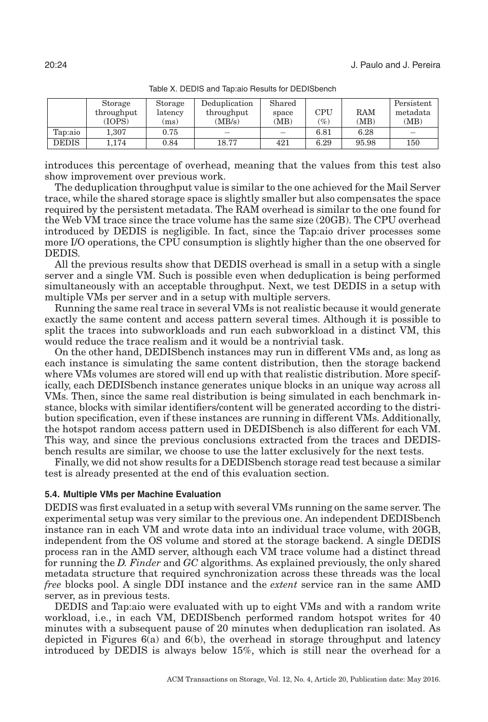<span id="page-23-0"></span>

|              | Storage<br>throughput<br>(IOPS) | Storage<br>latency<br>(ms) | Deduplication<br>throughput<br>(MB/s) | Shared<br>space<br>(MB) | CPU<br>$(\%)$ | <b>RAM</b><br>(MB) | Persistent<br>metadata<br>(MB) |
|--------------|---------------------------------|----------------------------|---------------------------------------|-------------------------|---------------|--------------------|--------------------------------|
| Tap:aio      | $1.307\,$                       | 0.75                       |                                       |                         | 6.81          | 6.28               |                                |
| <b>DEDIS</b> | 1.174                           | 0.84                       | 18.77                                 | 421                     | 6.29          | 95.98              | 150                            |

Table X. DEDIS and Tap:aio Results for DEDISbench

introduces this percentage of overhead, meaning that the values from this test also show improvement over previous work.

The deduplication throughput value is similar to the one achieved for the Mail Server trace, while the shared storage space is slightly smaller but also compensates the space required by the persistent metadata. The RAM overhead is similar to the one found for the Web VM trace since the trace volume has the same size (20GB). The CPU overhead introduced by DEDIS is negligible. In fact, since the Tap:aio driver processes some more I/O operations, the CPU consumption is slightly higher than the one observed for DEDIS.

All the previous results show that DEDIS overhead is small in a setup with a single server and a single VM. Such is possible even when deduplication is being performed simultaneously with an acceptable throughput. Next, we test DEDIS in a setup with multiple VMs per server and in a setup with multiple servers.

Running the same real trace in several VMs is not realistic because it would generate exactly the same content and access pattern several times. Although it is possible to split the traces into subworkloads and run each subworkload in a distinct VM, this would reduce the trace realism and it would be a nontrivial task.

On the other hand, DEDISbench instances may run in different VMs and, as long as each instance is simulating the same content distribution, then the storage backend where VMs volumes are stored will end up with that realistic distribution. More specifically, each DEDISbench instance generates unique blocks in an unique way across all VMs. Then, since the same real distribution is being simulated in each benchmark instance, blocks with similar identifiers/content will be generated according to the distribution specification, even if these instances are running in different VMs. Additionally, the hotspot random access pattern used in DEDISbench is also different for each VM. This way, and since the previous conclusions extracted from the traces and DEDISbench results are similar, we choose to use the latter exclusively for the next tests.

Finally, we did not show results for a DEDISbench storage read test because a similar test is already presented at the end of this evaluation section.

# **5.4. Multiple VMs per Machine Evaluation**

DEDIS was first evaluated in a setup with several VMs running on the same server. The experimental setup was very similar to the previous one. An independent DEDISbench instance ran in each VM and wrote data into an individual trace volume, with 20GB, independent from the OS volume and stored at the storage backend. A single DEDIS process ran in the AMD server, although each VM trace volume had a distinct thread for running the *D. Finder* and *GC* algorithms. As explained previously, the only shared metadata structure that required synchronization across these threads was the local *free* blocks pool. A single DDI instance and the *extent* service ran in the same AMD server, as in previous tests.

DEDIS and Tap:aio were evaluated with up to eight VMs and with a random write workload, i.e., in each VM, DEDISbench performed random hotspot writes for 40 minutes with a subsequent pause of 20 minutes when deduplication ran isolated. As depicted in Figures  $6(a)$  and  $6(b)$ , the overhead in storage throughput and latency introduced by DEDIS is always below 15%, which is still near the overhead for a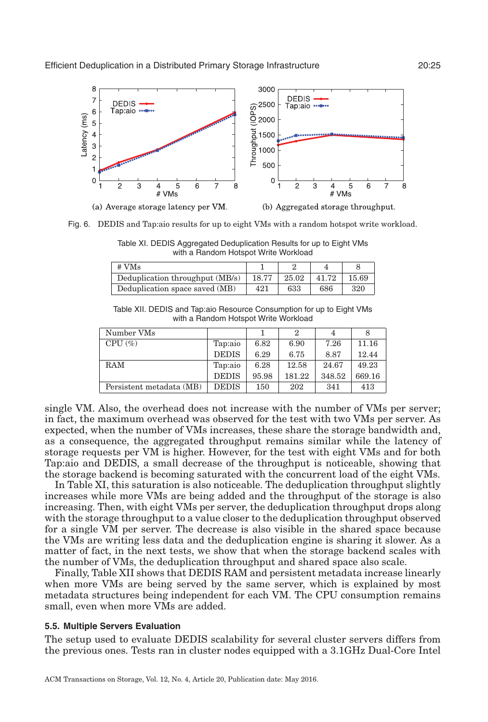<span id="page-24-0"></span>

(a) Average storage latency per VM. (b) Aggregated storage throughput.

<span id="page-24-1"></span>Fig. 6. DEDIS and Tap:aio results for up to eight VMs with a random hotspot write workload.

Table XI. DEDIS Aggregated Deduplication Results for up to Eight VMs with a Random Hotspot Write Workload

| # VMs                           |       |       |       |       |
|---------------------------------|-------|-------|-------|-------|
| Deduplication throughput (MB/s) | 18.77 | 25.02 | 41.72 | 15.69 |
| Deduplication space saved (MB)  | 421   | 633   | 686   | 320   |

Table XII. DEDIS and Tap:aio Resource Consumption for up to Eight VMs with a Random Hotspot Write Workload

<span id="page-24-2"></span>

| Number VMs               |              |       | 2      |        | 8      |
|--------------------------|--------------|-------|--------|--------|--------|
| $CPU \left( % \right)$   | Tap:aio      | 6.82  | 6.90   | 7.26   | 11.16  |
|                          | <b>DEDIS</b> | 6.29  | 6.75   | 8.87   | 12.44  |
| <b>RAM</b>               | Tap:aio      | 6.28  | 12.58  | 24.67  | 49.23  |
|                          | <b>DEDIS</b> | 95.98 | 181.22 | 348.52 | 669.16 |
| Persistent metadata (MB) | <b>DEDIS</b> | 150   | 202    | 341    | 413    |
|                          |              |       |        |        |        |

single VM. Also, the overhead does not increase with the number of VMs per server; in fact, the maximum overhead was observed for the test with two VMs per server. As expected, when the number of VMs increases, these share the storage bandwidth and, as a consequence, the aggregated throughput remains similar while the latency of storage requests per VM is higher. However, for the test with eight VMs and for both Tap:aio and DEDIS, a small decrease of the throughput is noticeable, showing that the storage backend is becoming saturated with the concurrent load of the eight VMs.

In Table [XI,](#page-24-1) this saturation is also noticeable. The deduplication throughput slightly increases while more VMs are being added and the throughput of the storage is also increasing. Then, with eight VMs per server, the deduplication throughput drops along with the storage throughput to a value closer to the deduplication throughput observed for a single VM per server. The decrease is also visible in the shared space because the VMs are writing less data and the deduplication engine is sharing it slower. As a matter of fact, in the next tests, we show that when the storage backend scales with the number of VMs, the deduplication throughput and shared space also scale.

Finally, Table [XII](#page-24-2) shows that DEDIS RAM and persistent metadata increase linearly when more VMs are being served by the same server, which is explained by most metadata structures being independent for each VM. The CPU consumption remains small, even when more VMs are added.

#### **5.5. Multiple Servers Evaluation**

The setup used to evaluate DEDIS scalability for several cluster servers differs from the previous ones. Tests ran in cluster nodes equipped with a 3.1GHz Dual-Core Intel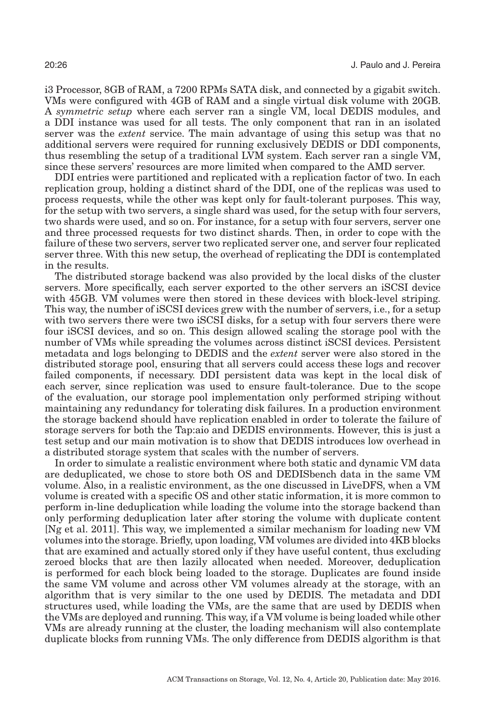i3 Processor, 8GB of RAM, a 7200 RPMs SATA disk, and connected by a gigabit switch. VMs were configured with 4GB of RAM and a single virtual disk volume with 20GB. A *symmetric setup* where each server ran a single VM, local DEDIS modules, and a DDI instance was used for all tests. The only component that ran in an isolated server was the *extent* service. The main advantage of using this setup was that no additional servers were required for running exclusively DEDIS or DDI components, thus resembling the setup of a traditional LVM system. Each server ran a single VM, since these servers' resources are more limited when compared to the AMD server.

DDI entries were partitioned and replicated with a replication factor of two. In each replication group, holding a distinct shard of the DDI, one of the replicas was used to process requests, while the other was kept only for fault-tolerant purposes. This way, for the setup with two servers, a single shard was used, for the setup with four servers, two shards were used, and so on. For instance, for a setup with four servers, server one and three processed requests for two distinct shards. Then, in order to cope with the failure of these two servers, server two replicated server one, and server four replicated server three. With this new setup, the overhead of replicating the DDI is contemplated in the results.

The distributed storage backend was also provided by the local disks of the cluster servers. More specifically, each server exported to the other servers an iSCSI device with 45GB. VM volumes were then stored in these devices with block-level striping. This way, the number of iSCSI devices grew with the number of servers, i.e., for a setup with two servers there were two iSCSI disks, for a setup with four servers there were four iSCSI devices, and so on. This design allowed scaling the storage pool with the number of VMs while spreading the volumes across distinct iSCSI devices. Persistent metadata and logs belonging to DEDIS and the *extent* server were also stored in the distributed storage pool, ensuring that all servers could access these logs and recover failed components, if necessary. DDI persistent data was kept in the local disk of each server, since replication was used to ensure fault-tolerance. Due to the scope of the evaluation, our storage pool implementation only performed striping without maintaining any redundancy for tolerating disk failures. In a production environment the storage backend should have replication enabled in order to tolerate the failure of storage servers for both the Tap:aio and DEDIS environments. However, this is just a test setup and our main motivation is to show that DEDIS introduces low overhead in a distributed storage system that scales with the number of servers.

In order to simulate a realistic environment where both static and dynamic VM data are deduplicated, we chose to store both OS and DEDISbench data in the same VM volume. Also, in a realistic environment, as the one discussed in LiveDFS, when a VM volume is created with a specific OS and other static information, it is more common to perform in-line deduplication while loading the volume into the storage backend than only performing deduplication later after storing the volume with duplicate content [Ng et al. [2011\]](#page-33-1). This way, we implemented a similar mechanism for loading new VM volumes into the storage. Briefly, upon loading, VM volumes are divided into 4KB blocks that are examined and actually stored only if they have useful content, thus excluding zeroed blocks that are then lazily allocated when needed. Moreover, deduplication is performed for each block being loaded to the storage. Duplicates are found inside the same VM volume and across other VM volumes already at the storage, with an algorithm that is very similar to the one used by DEDIS. The metadata and DDI structures used, while loading the VMs, are the same that are used by DEDIS when the VMs are deployed and running. This way, if a VM volume is being loaded while other VMs are already running at the cluster, the loading mechanism will also contemplate duplicate blocks from running VMs. The only difference from DEDIS algorithm is that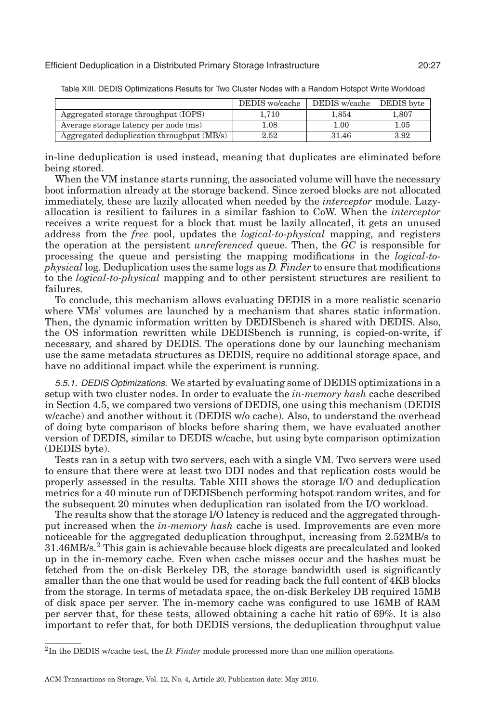|                                            | DEDIS wo/cache | DEDIS w/cache | DEDIS byte |
|--------------------------------------------|----------------|---------------|------------|
| Aggregated storage throughput (IOPS)       | 1.710          | 1.854         | 1.807      |
| Average storage latency per node (ms)      | 1.08           | 1.00          | 1.05       |
| Aggregated deduplication throughput (MB/s) | 2.52           | 31.46         | 3.92       |

<span id="page-26-0"></span>Table XIII. DEDIS Optimizations Results for Two Cluster Nodes with a Random Hotspot Write Workload

in-line deduplication is used instead, meaning that duplicates are eliminated before being stored.

When the VM instance starts running, the associated volume will have the necessary boot information already at the storage backend. Since zeroed blocks are not allocated immediately, these are lazily allocated when needed by the *interceptor* module. Lazyallocation is resilient to failures in a similar fashion to CoW. When the *interceptor* receives a write request for a block that must be lazily allocated, it gets an unused address from the *free* pool, updates the *logical-to-physical* mapping, and registers the operation at the persistent *unreferenced* queue. Then, the *GC* is responsible for processing the queue and persisting the mapping modifications in the *logical-tophysical* log. Deduplication uses the same logs as *D. Finder* to ensure that modifications to the *logical-to-physical* mapping and to other persistent structures are resilient to failures.

To conclude, this mechanism allows evaluating DEDIS in a more realistic scenario where VMs' volumes are launched by a mechanism that shares static information. Then, the dynamic information written by DEDISbench is shared with DEDIS. Also, the OS information rewritten while DEDISbench is running, is copied-on-write, if necessary, and shared by DEDIS. The operations done by our launching mechanism use the same metadata structures as DEDIS, require no additional storage space, and have no additional impact while the experiment is running.

5.5.1. DEDIS Optimizations. We started by evaluating some of DEDIS optimizations in a setup with two cluster nodes. In order to evaluate the *in-memory hash* cache described in Section [4.5,](#page-14-0) we compared two versions of DEDIS, one using this mechanism (DEDIS w/cache) and another without it (DEDIS w/o cache). Also, to understand the overhead of doing byte comparison of blocks before sharing them, we have evaluated another version of DEDIS, similar to DEDIS w/cache, but using byte comparison optimization (DEDIS byte).

Tests ran in a setup with two servers, each with a single VM. Two servers were used to ensure that there were at least two DDI nodes and that replication costs would be properly assessed in the results. Table [XIII](#page-26-0) shows the storage I/O and deduplication metrics for a 40 minute run of DEDISbench performing hotspot random writes, and for the subsequent 20 minutes when deduplication ran isolated from the I/O workload.

The results show that the storage I/O latency is reduced and the aggregated throughput increased when the *in-memory hash* cache is used. Improvements are even more noticeable for the aggregated deduplication throughput, increasing from 2.52MB/s to 31.46MB/s.[2](#page-26-1) This gain is achievable because block digests are precalculated and looked up in the in-memory cache. Even when cache misses occur and the hashes must be fetched from the on-disk Berkeley DB, the storage bandwidth used is significantly smaller than the one that would be used for reading back the full content of 4KB blocks from the storage. In terms of metadata space, the on-disk Berkeley DB required 15MB of disk space per server. The in-memory cache was configured to use 16MB of RAM per server that, for these tests, allowed obtaining a cache hit ratio of 69%. It is also important to refer that, for both DEDIS versions, the deduplication throughput value

<span id="page-26-1"></span><sup>2</sup>In the DEDIS w/cache test, the *D. Finder* module processed more than one million operations.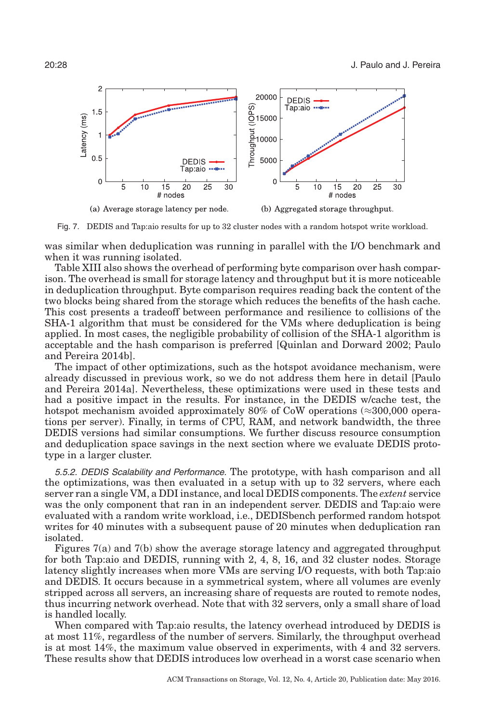<span id="page-27-0"></span>

Fig. 7. DEDIS and Tap:aio results for up to 32 cluster nodes with a random hotspot write workload.

was similar when deduplication was running in parallel with the I/O benchmark and when it was running isolated.

Table [XIII](#page-26-0) also shows the overhead of performing byte comparison over hash comparison. The overhead is small for storage latency and throughput but it is more noticeable in deduplication throughput. Byte comparison requires reading back the content of the two blocks being shared from the storage which reduces the benefits of the hash cache. This cost presents a tradeoff between performance and resilience to collisions of the SHA-1 algorithm that must be considered for the VMs where deduplication is being applied. In most cases, the negligible probability of collision of the SHA-1 algorithm is acceptable and the hash comparison is preferred [Quinlan and Dorward [2002;](#page-33-7) Paulo and Pereira [2014b\]](#page-33-6).

The impact of other optimizations, such as the hotspot avoidance mechanism, were already discussed in previous work, so we do not address them here in detail [Paulo and Pereira [2014a\]](#page-33-12). Nevertheless, these optimizations were used in these tests and had a positive impact in the results. For instance, in the DEDIS w/cache test, the hotspot mechanism avoided approximately 80% of CoW operations  $(\approx 300,000)$  operations per server). Finally, in terms of CPU, RAM, and network bandwidth, the three DEDIS versions had similar consumptions. We further discuss resource consumption and deduplication space savings in the next section where we evaluate DEDIS prototype in a larger cluster.

5.5.2. DEDIS Scalability and Performance. The prototype, with hash comparison and all the optimizations, was then evaluated in a setup with up to 32 servers, where each server ran a single VM, a DDI instance, and local DEDIS components. The *extent* service was the only component that ran in an independent server. DEDIS and Tap:aio were evaluated with a random write workload, i.e., DEDISbench performed random hotspot writes for 40 minutes with a subsequent pause of 20 minutes when deduplication ran isolated.

Figures [7\(](#page-27-0)a) and [7\(](#page-27-0)b) show the average storage latency and aggregated throughput for both Tap:aio and DEDIS, running with 2, 4, 8, 16, and 32 cluster nodes. Storage latency slightly increases when more VMs are serving I/O requests, with both Tap:aio and DEDIS. It occurs because in a symmetrical system, where all volumes are evenly stripped across all servers, an increasing share of requests are routed to remote nodes, thus incurring network overhead. Note that with 32 servers, only a small share of load is handled locally.

When compared with Tap:aio results, the latency overhead introduced by DEDIS is at most 11%, regardless of the number of servers. Similarly, the throughput overhead is at most 14%, the maximum value observed in experiments, with 4 and 32 servers. These results show that DEDIS introduces low overhead in a worst case scenario when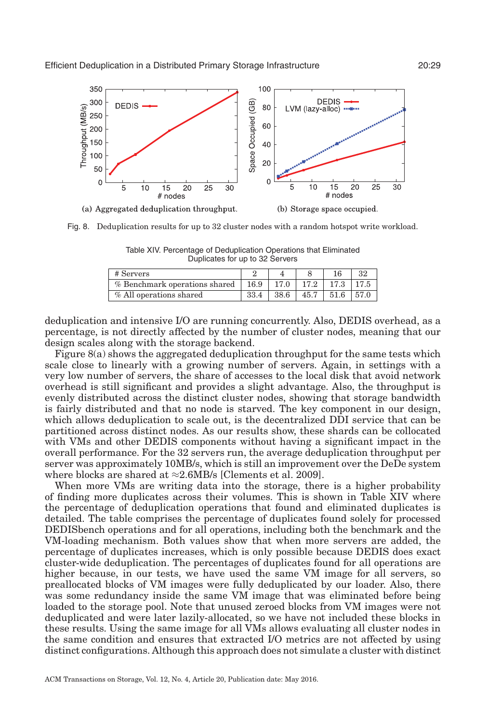<span id="page-28-0"></span>

<span id="page-28-1"></span>Fig. 8. Deduplication results for up to 32 cluster nodes with a random hotspot write workload.

Table XIV. Percentage of Deduplication Operations that Eliminated Duplicates for up to 32 Servers

| # Servers                     |      |      |      |      |  |
|-------------------------------|------|------|------|------|--|
| % Benchmark operations shared | 16.9 |      | 17.2 | 17.3 |  |
| % All operations shared       | 33.4 | 38.6 | 45.7 |      |  |

deduplication and intensive I/O are running concurrently. Also, DEDIS overhead, as a percentage, is not directly affected by the number of cluster nodes, meaning that our design scales along with the storage backend.

Figure [8\(](#page-28-0)a) shows the aggregated deduplication throughput for the same tests which scale close to linearly with a growing number of servers. Again, in settings with a very low number of servers, the share of accesses to the local disk that avoid network overhead is still significant and provides a slight advantage. Also, the throughput is evenly distributed across the distinct cluster nodes, showing that storage bandwidth is fairly distributed and that no node is starved. The key component in our design, which allows deduplication to scale out, is the decentralized DDI service that can be partitioned across distinct nodes. As our results show, these shards can be collocated with VMs and other DEDIS components without having a significant impact in the overall performance. For the 32 servers run, the average deduplication throughput per server was approximately 10MB/s, which is still an improvement over the DeDe system where blocks are shared at  $\approx 2.6$ MB/s [Clements et al. [2009\]](#page-32-4).

When more VMs are writing data into the storage, there is a higher probability of finding more duplicates across their volumes. This is shown in Table [XIV](#page-28-1) where the percentage of deduplication operations that found and eliminated duplicates is detailed. The table comprises the percentage of duplicates found solely for processed DEDISbench operations and for all operations, including both the benchmark and the VM-loading mechanism. Both values show that when more servers are added, the percentage of duplicates increases, which is only possible because DEDIS does exact cluster-wide deduplication. The percentages of duplicates found for all operations are higher because, in our tests, we have used the same VM image for all servers, so preallocated blocks of VM images were fully deduplicated by our loader. Also, there was some redundancy inside the same VM image that was eliminated before being loaded to the storage pool. Note that unused zeroed blocks from VM images were not deduplicated and were later lazily-allocated, so we have not included these blocks in these results. Using the same image for all VMs allows evaluating all cluster nodes in the same condition and ensures that extracted I/O metrics are not affected by using distinct configurations. Although this approach does not simulate a cluster with distinct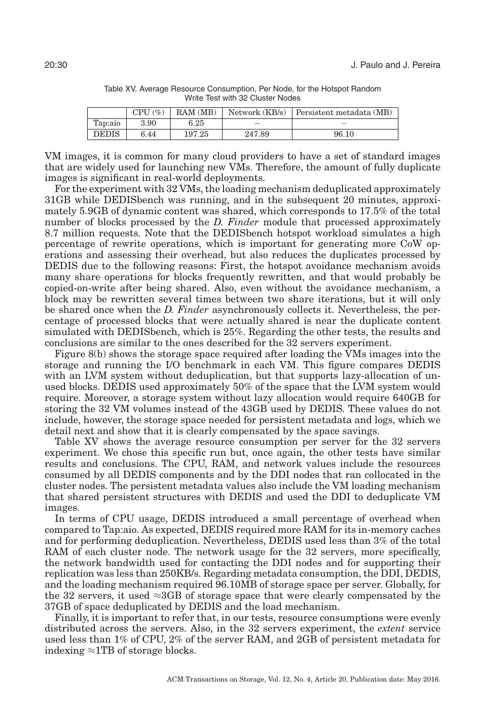<span id="page-29-0"></span>

|              | CPU (%) | RAM(MB) | Network (KB/s) | Persistent metadata (MB) |
|--------------|---------|---------|----------------|--------------------------|
| Tap:aio      | 3.90    | 6.25    |                | _                        |
| <b>DEDIS</b> | 6.44    | 197.25  | 247.89         | 96.10                    |

Table XV. Average Resource Consumption, Per Node, for the Hotspot Random Write Test with 32 Cluster Nodes

VM images, it is common for many cloud providers to have a set of standard images that are widely used for launching new VMs. Therefore, the amount of fully duplicate images is significant in real-world deployments.

For the experiment with 32 VMs, the loading mechanism deduplicated approximately 31GB while DEDISbench was running, and in the subsequent 20 minutes, approximately 5.9GB of dynamic content was shared, which corresponds to 17.5% of the total number of blocks processed by the *D. Finder* module that processed approximately 8.7 million requests. Note that the DEDISbench hotspot workload simulates a high percentage of rewrite operations, which is important for generating more CoW operations and assessing their overhead, but also reduces the duplicates processed by DEDIS due to the following reasons: First, the hotspot avoidance mechanism avoids many share operations for blocks frequently rewritten, and that would probably be copied-on-write after being shared. Also, even without the avoidance mechanism, a block may be rewritten several times between two share iterations, but it will only be shared once when the *D. Finder* asynchronously collects it. Nevertheless, the percentage of processed blocks that were actually shared is near the duplicate content simulated with DEDISbench, which is 25%. Regarding the other tests, the results and conclusions are similar to the ones described for the 32 servers experiment.

Figure [8\(](#page-28-0)b) shows the storage space required after loading the VMs images into the storage and running the I/O benchmark in each VM. This figure compares DEDIS with an LVM system without deduplication, but that supports lazy-allocation of unused blocks. DEDIS used approximately 50% of the space that the LVM system would require. Moreover, a storage system without lazy allocation would require 640GB for storing the 32 VM volumes instead of the 43GB used by DEDIS. These values do not include, however, the storage space needed for persistent metadata and logs, which we detail next and show that it is clearly compensated by the space savings.

Table [XV](#page-29-0) shows the average resource consumption per server for the 32 servers experiment. We chose this specific run but, once again, the other tests have similar results and conclusions. The CPU, RAM, and network values include the resources consumed by all DEDIS components and by the DDI nodes that ran collocated in the cluster nodes. The persistent metadata values also include the VM loading mechanism that shared persistent structures with DEDIS and used the DDI to deduplicate VM images.

In terms of CPU usage, DEDIS introduced a small percentage of overhead when compared to Tap:aio. As expected, DEDIS required more RAM for its in-memory caches and for performing deduplication. Nevertheless, DEDIS used less than 3% of the total RAM of each cluster node. The network usage for the 32 servers, more specifically, the network bandwidth used for contacting the DDI nodes and for supporting their replication was less than 250KB/s. Regarding metadata consumption, the DDI, DEDIS, and the loading mechanism required 96.10MB of storage space per server. Globally, for the 32 servers, it used  $\approx$ 3GB of storage space that were clearly compensated by the 37GB of space deduplicated by DEDIS and the load mechanism.

Finally, it is important to refer that, in our tests, resource consumptions were evenly distributed across the servers. Also, in the 32 servers experiment, the *extent* service used less than 1% of CPU, 2% of the server RAM, and 2GB of persistent metadata for indexing ≈1TB of storage blocks.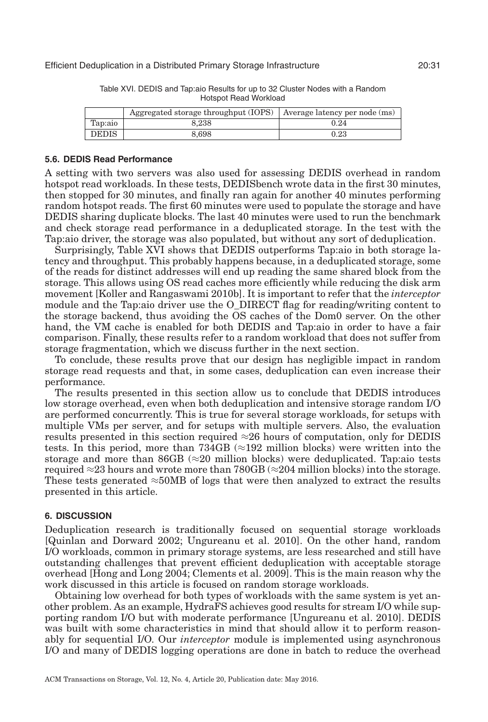<span id="page-30-1"></span>

|              | Aggregated storage throughput $(IOPS)$ Average latency per node $(ms)$ |            |
|--------------|------------------------------------------------------------------------|------------|
| Tap:aio      | 8.238                                                                  | 0.24       |
| <b>DEDIS</b> | 8.698                                                                  | $\rm 0.23$ |

Table XVI. DEDIS and Tap:aio Results for up to 32 Cluster Nodes with a Random Hotspot Read Workload

### **5.6. DEDIS Read Performance**

A setting with two servers was also used for assessing DEDIS overhead in random hotspot read workloads. In these tests, DEDISbench wrote data in the first 30 minutes, then stopped for 30 minutes, and finally ran again for another 40 minutes performing random hotspot reads. The first 60 minutes were used to populate the storage and have DEDIS sharing duplicate blocks. The last 40 minutes were used to run the benchmark and check storage read performance in a deduplicated storage. In the test with the Tap:aio driver, the storage was also populated, but without any sort of deduplication.

Surprisingly, Table [XVI](#page-30-1) shows that DEDIS outperforms Tap:aio in both storage latency and throughput. This probably happens because, in a deduplicated storage, some of the reads for distinct addresses will end up reading the same shared block from the storage. This allows using OS read caches more efficiently while reducing the disk arm movement [Koller and Rangaswami [2010b\]](#page-33-28). It is important to refer that the *interceptor* module and the Tap:aio driver use the O\_DIRECT flag for reading/writing content to the storage backend, thus avoiding the OS caches of the Dom0 server. On the other hand, the VM cache is enabled for both DEDIS and Tap:aio in order to have a fair comparison. Finally, these results refer to a random workload that does not suffer from storage fragmentation, which we discuss further in the next section.

To conclude, these results prove that our design has negligible impact in random storage read requests and that, in some cases, deduplication can even increase their performance.

The results presented in this section allow us to conclude that DEDIS introduces low storage overhead, even when both deduplication and intensive storage random I/O are performed concurrently. This is true for several storage workloads, for setups with multiple VMs per server, and for setups with multiple servers. Also, the evaluation results presented in this section required  $\approx$ 26 hours of computation, only for DEDIS tests. In this period, more than  $734GB \approx 192$  million blocks) were written into the storage and more than  $86GB \approx 20$  million blocks) were deduplicated. Tap:aio tests required  $\approx$ 23 hours and wrote more than 780GB ( $\approx$ 204 million blocks) into the storage. These tests generated ≈50MB of logs that were then analyzed to extract the results presented in this article.

# **6. DISCUSSION**

<span id="page-30-0"></span>Deduplication research is traditionally focused on sequential storage workloads [Quinlan and Dorward [2002;](#page-33-7) Ungureanu et al. [2010\]](#page-34-3). On the other hand, random I/O workloads, common in primary storage systems, are less researched and still have outstanding challenges that prevent efficient deduplication with acceptable storage overhead [Hong and Long [2004;](#page-32-3) Clements et al. [2009\]](#page-32-4). This is the main reason why the work discussed in this article is focused on random storage workloads.

Obtaining low overhead for both types of workloads with the same system is yet another problem. As an example, HydraFS achieves good results for stream I/O while supporting random I/O but with moderate performance [Ungureanu et al. [2010\]](#page-34-3). DEDIS was built with some characteristics in mind that should allow it to perform reasonably for sequential I/O. Our *interceptor* module is implemented using asynchronous I/O and many of DEDIS logging operations are done in batch to reduce the overhead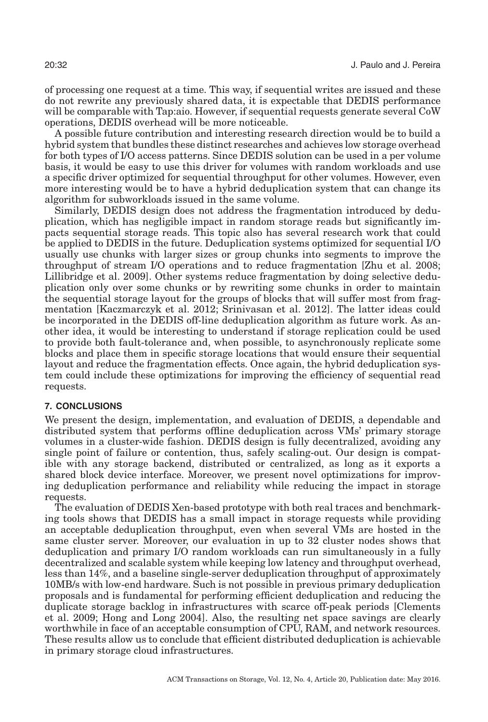of processing one request at a time. This way, if sequential writes are issued and these do not rewrite any previously shared data, it is expectable that DEDIS performance will be comparable with Tap:aio. However, if sequential requests generate several CoW operations, DEDIS overhead will be more noticeable.

A possible future contribution and interesting research direction would be to build a hybrid system that bundles these distinct researches and achieves low storage overhead for both types of I/O access patterns. Since DEDIS solution can be used in a per volume basis, it would be easy to use this driver for volumes with random workloads and use a specific driver optimized for sequential throughput for other volumes. However, even more interesting would be to have a hybrid deduplication system that can change its algorithm for subworkloads issued in the same volume.

Similarly, DEDIS design does not address the fragmentation introduced by deduplication, which has negligible impact in random storage reads but significantly impacts sequential storage reads. This topic also has several research work that could be applied to DEDIS in the future. Deduplication systems optimized for sequential I/O usually use chunks with larger sizes or group chunks into segments to improve the throughput of stream I/O operations and to reduce fragmentation [Zhu et al. [2008;](#page-34-6) Lillibridge et al. [2009\]](#page-33-18). Other systems reduce fragmentation by doing selective deduplication only over some chunks or by rewriting some chunks in order to maintain the sequential storage layout for the groups of blocks that will suffer most from fragmentation [Kaczmarczyk et al. [2012;](#page-32-20) Srinivasan et al. [2012\]](#page-34-0). The latter ideas could be incorporated in the DEDIS off-line deduplication algorithm as future work. As another idea, it would be interesting to understand if storage replication could be used to provide both fault-tolerance and, when possible, to asynchronously replicate some blocks and place them in specific storage locations that would ensure their sequential layout and reduce the fragmentation effects. Once again, the hybrid deduplication system could include these optimizations for improving the efficiency of sequential read requests.

# **7. CONCLUSIONS**

<span id="page-31-0"></span>We present the design, implementation, and evaluation of DEDIS, a dependable and distributed system that performs offline deduplication across VMs' primary storage volumes in a cluster-wide fashion. DEDIS design is fully decentralized, avoiding any single point of failure or contention, thus, safely scaling-out. Our design is compatible with any storage backend, distributed or centralized, as long as it exports a shared block device interface. Moreover, we present novel optimizations for improving deduplication performance and reliability while reducing the impact in storage requests.

The evaluation of DEDIS Xen-based prototype with both real traces and benchmarking tools shows that DEDIS has a small impact in storage requests while providing an acceptable deduplication throughput, even when several VMs are hosted in the same cluster server. Moreover, our evaluation in up to 32 cluster nodes shows that deduplication and primary I/O random workloads can run simultaneously in a fully decentralized and scalable system while keeping low latency and throughput overhead, less than 14%, and a baseline single-server deduplication throughput of approximately 10MB/s with low-end hardware. Such is not possible in previous primary deduplication proposals and is fundamental for performing efficient deduplication and reducing the duplicate storage backlog in infrastructures with scarce off-peak periods [Clements et al. [2009;](#page-32-4) Hong and Long [2004\]](#page-32-3). Also, the resulting net space savings are clearly worthwhile in face of an acceptable consumption of CPU, RAM, and network resources. These results allow us to conclude that efficient distributed deduplication is achievable in primary storage cloud infrastructures.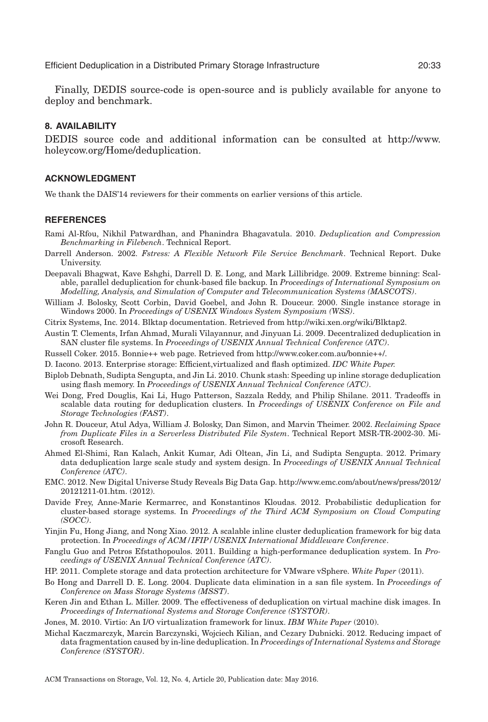Finally, DEDIS source-code is open-source and is publicly available for anyone to deploy and benchmark.

# **8. AVAILABILITY**

DEDIS source code and additional information can be consulted at [http://www.](http://www.holeycow.org/Home/deduplication) [holeycow.org/Home/deduplication.](http://www.holeycow.org/Home/deduplication)

#### **ACKNOWLEDGMENT**

We thank the DAIS'14 reviewers for their comments on earlier versions of this article.

### **REFERENCES**

- <span id="page-32-19"></span>Rami Al-Rfou, Nikhil Patwardhan, and Phanindra Bhagavatula. 2010. *Deduplication and Compression Benchmarking in Filebench*. Technical Report.
- <span id="page-32-18"></span>Darrell Anderson. 2002. *Fstress: A Flexible Network File Service Benchmark*. Technical Report. Duke University.
- <span id="page-32-6"></span>Deepavali Bhagwat, Kave Eshghi, Darrell D. E. Long, and Mark Lillibridge. 2009. Extreme binning: Scalable, parallel deduplication for chunk-based file backup. In *Proceedings of International Symposium on Modelling, Analysis, and Simulation of Computer and Telecommunication Systems (MASCOTS)*.
- <span id="page-32-12"></span>William J. Bolosky, Scott Corbin, David Goebel, and John R. Douceur. 2000. Single instance storage in Windows 2000. In *Proceedings of USENIX Windows System Symposium (WSS)*.
- <span id="page-32-10"></span>Citrix Systems, Inc. 2014. Blktap documentation. Retrieved from [http://wiki.xen.org/wiki/Blktap2.](http://wiki.xen.org/wiki/Blktap2)
- <span id="page-32-4"></span>Austin T. Clements, Irfan Ahmad, Murali Vilayannur, and Jinyuan Li. 2009. Decentralized deduplication in SAN cluster file systems. In *Proceedings of USENIX Annual Technical Conference (ATC)*.
- <span id="page-32-17"></span>Russell Coker. 2015. Bonnie++ web page. Retrieved from [http://www.coker.com.au/bonnie++/.](http://www.coker.com.au/bonnie++/)
- <span id="page-32-1"></span>D. Iacono. 2013. Enterprise storage: Efficient,virtualized and flash optimized. *IDC White Paper.*
- <span id="page-32-16"></span>Biplob Debnath, Sudipta Sengupta, and Jin Li. 2010. Chunk stash: Speeding up inline storage deduplication using flash memory. In *Proceedings of USENIX Annual Technical Conference (ATC)*.
- <span id="page-32-7"></span>Wei Dong, Fred Douglis, Kai Li, Hugo Patterson, Sazzala Reddy, and Philip Shilane. 2011. Tradeoffs in scalable data routing for deduplication clusters. In *Proceedings of USENIX Conference on File and Storage Technologies (FAST)*.
- <span id="page-32-13"></span>John R. Douceur, Atul Adya, William J. Bolosky, Dan Simon, and Marvin Theimer. 2002. *Reclaiming Space from Duplicate Files in a Serverless Distributed File System*. Technical Report MSR-TR-2002-30. Microsoft Research.
- <span id="page-32-2"></span>Ahmed El-Shimi, Ran Kalach, Ankit Kumar, Adi Oltean, Jin Li, and Sudipta Sengupta. 2012. Primary data deduplication large scale study and system design. In *Proceedings of USENIX Annual Technical Conference (ATC)*.
- <span id="page-32-0"></span>EMC. 2012. New Digital Universe Study Reveals Big Data Gap. [http://www.emc.com/about/news/press/2012/](http://www.emc.com/about/news/press/2012/20121211-01.htm) [20121211-01.htm.](http://www.emc.com/about/news/press/2012/20121211-01.htm) (2012).
- <span id="page-32-9"></span>Davide Frey, Anne-Marie Kermarrec, and Konstantinos Kloudas. 2012. Probabilistic deduplication for cluster-based storage systems. In *Proceedings of the Third ACM Symposium on Cloud Computing (SOCC)*.
- <span id="page-32-8"></span>Yinjin Fu, Hong Jiang, and Nong Xiao. 2012. A scalable inline cluster deduplication framework for big data protection. In *Proceedings of ACM/IFIP/USENIX International Middleware Conference*.
- <span id="page-32-15"></span>Fanglu Guo and Petros Efstathopoulos. 2011. Building a high-performance deduplication system. In *Proceedings of USENIX Annual Technical Conference (ATC)*.
- <span id="page-32-5"></span>HP. 2011. Complete storage and data protection architecture for VMware vSphere. *White Paper* (2011).
- <span id="page-32-3"></span>Bo Hong and Darrell D. E. Long. 2004. Duplicate data elimination in a san file system. In *Proceedings of Conference on Mass Storage Systems (MSST)*.
- <span id="page-32-14"></span>Keren Jin and Ethan L. Miller. 2009. The effectiveness of deduplication on virtual machine disk images. In *Proceedings of International Systems and Storage Conference (SYSTOR)*.
- <span id="page-32-11"></span>Jones, M. 2010. Virtio: An I/O virtualization framework for linux. *IBM White Paper* (2010).
- <span id="page-32-20"></span>Michal Kaczmarczyk, Marcin Barczynski, Wojciech Kilian, and Cezary Dubnicki. 2012. Reducing impact of data fragmentation caused by in-line deduplication. In *Proceedings of International Systems and Storage Conference (SYSTOR)*.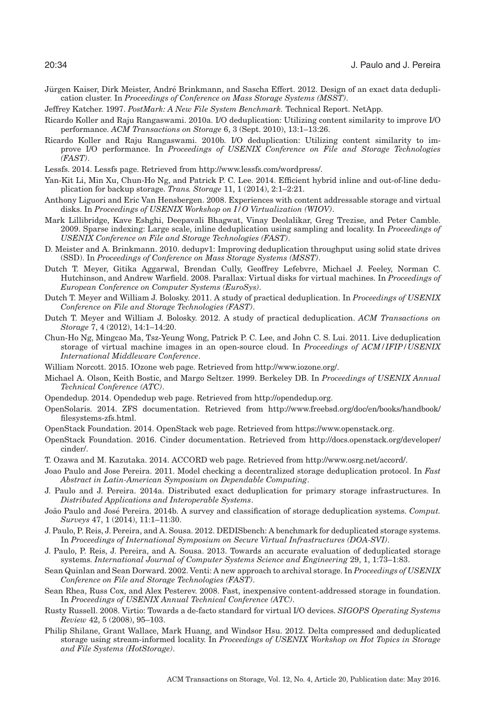- <span id="page-33-8"></span>Jürgen Kaiser, Dirk Meister, André Brinkmann, and Sascha Effert. 2012. Design of an exact data deduplication cluster. In *Proceedings of Conference on Mass Storage Systems (MSST)*.
- <span id="page-33-26"></span>Jeffrey Katcher. 1997. *PostMark: A New File System Benchmark.* Technical Report. NetApp.
- <span id="page-33-3"></span>Ricardo Koller and Raju Rangaswami. 2010a. I/O deduplication: Utilizing content similarity to improve I/O performance. *ACM Transactions on Storage* 6, 3 (Sept. 2010), 13:1–13:26.
- <span id="page-33-28"></span>Ricardo Koller and Raju Rangaswami. 2010b. I/O deduplication: Utilizing content similarity to improve I/O performance. In *Proceedings of USENIX Conference on File and Storage Technologies (FAST)*.
- <span id="page-33-14"></span>Lessfs. 2014. Lessfs page. Retrieved from [http://www.lessfs.com/wordpress/.](http://www.lessfs.com/wordpress/)
- <span id="page-33-15"></span>Yan-Kit Li, Min Xu, Chun-Ho Ng, and Patrick P. C. Lee. 2014. Efficient hybrid inline and out-of-line deduplication for backup storage. *Trans. Storage* 11, 1 (2014), 2:1–2:21.
- <span id="page-33-13"></span>Anthony Liguori and Eric Van Hensbergen. 2008. Experiences with content addressable storage and virtual disks. In *Proceedings of USENIX Workshop on I/O Virtualization (WIOV)*.
- <span id="page-33-18"></span>Mark Lillibridge, Kave Eshghi, Deepavali Bhagwat, Vinay Deolalikar, Greg Trezise, and Peter Camble. 2009. Sparse indexing: Large scale, inline deduplication using sampling and locality. In *Proceedings of USENIX Conference on File and Storage Technologies (FAST)*.
- <span id="page-33-20"></span>D. Meister and A. Brinkmann. 2010. dedupv1: Improving deduplication throughput using solid state drives (SSD). In *Proceedings of Conference on Mass Storage Systems (MSST)*.
- <span id="page-33-2"></span>Dutch T. Meyer, Gitika Aggarwal, Brendan Cully, Geoffrey Lefebvre, Michael J. Feeley, Norman C. Hutchinson, and Andrew Warfield. 2008. Parallax: Virtual disks for virtual machines. In *Proceedings of European Conference on Computer Systems (EuroSys)*.
- <span id="page-33-4"></span>Dutch T. Meyer and William J. Bolosky. 2011. A study of practical deduplication. In *Proceedings of USENIX Conference on File and Storage Technologies (FAST)*.
- <span id="page-33-5"></span>Dutch T. Meyer and William J. Bolosky. 2012. A study of practical deduplication. *ACM Transactions on Storage* 7, 4 (2012), 14:1–14:20.
- <span id="page-33-1"></span>Chun-Ho Ng, Mingcao Ma, Tsz-Yeung Wong, Patrick P. C. Lee, and John C. S. Lui. 2011. Live deduplication storage of virtual machine images in an open-source cloud. In *Proceedings of ACM/IFIP/USENIX International Middleware Conference*.
- <span id="page-33-27"></span>William Norcott. 2015. IOzone web page. Retrieved from [http://www.iozone.org/.](http://www.iozone.org/)
- <span id="page-33-22"></span>Michael A. Olson, Keith Bostic, and Margo Seltzer. 1999. Berkeley DB. In *Proceedings of USENIX Annual Technical Conference (ATC)*.
- <span id="page-33-16"></span>Opendedup. 2014. Opendedup web page. Retrieved from [http://opendedup.org.](http://opendedup.org)
- <span id="page-33-0"></span>OpenSolaris. 2014. ZFS documentation. Retrieved from [http://www.freebsd.org/doc/en/books/handbook/](http://www.freebsd.org/doc/en/books/handbook/filesystems-zfs.html) [filesystems-zfs.html.](http://www.freebsd.org/doc/en/books/handbook/filesystems-zfs.html)
- <span id="page-33-9"></span>OpenStack Foundation. 2014. OpenStack web page. Retrieved from [https://www.openstack.org.](https://www.openstack.org)
- <span id="page-33-10"></span>OpenStack Foundation. 2016. Cinder documentation. Retrieved from [http://docs.openstack.org/developer/](http://docs.openstack.org/developer/cinder/) [cinder/.](http://docs.openstack.org/developer/cinder/)
- <span id="page-33-23"></span>T. Ozawa and M. Kazutaka. 2014. ACCORD web page. Retrieved from [http://www.osrg.net/accord/.](http://www.osrg.net/accord/)
- <span id="page-33-21"></span>Joao Paulo and Jose Pereira. 2011. Model checking a decentralized storage deduplication protocol. In *Fast Abstract in Latin-American Symposium on Dependable Computing*.
- <span id="page-33-12"></span>J. Paulo and J. Pereira. 2014a. Distributed exact deduplication for primary storage infrastructures. In *Distributed Applications and Interoperable Systems*.
- <span id="page-33-6"></span>João Paulo and José Pereira. 2014b. A survey and classification of storage deduplication systems. Comput. *Surveys* 47, 1 (2014), 11:1–11:30.
- <span id="page-33-24"></span>J. Paulo, P. Reis, J. Pereira, and A. Sousa. 2012. DEDISbench: A benchmark for deduplicated storage systems. In *Proceedings of International Symposium on Secure Virtual Infrastructures (DOA-SVI)*.
- <span id="page-33-25"></span>J. Paulo, P. Reis, J. Pereira, and A. Sousa. 2013. Towards an accurate evaluation of deduplicated storage systems. *International Journal of Computer Systems Science and Engineering* 29, 1, 1:73–1:83.
- <span id="page-33-7"></span>Sean Quinlan and Sean Dorward. 2002. Venti: A new approach to archival storage. In *Proceedings of USENIX Conference on File and Storage Technologies (FAST)*.
- <span id="page-33-17"></span>Sean Rhea, Russ Cox, and Alex Pesterev. 2008. Fast, inexpensive content-addressed storage in foundation. In *Proceedings of USENIX Annual Technical Conference (ATC)*.
- <span id="page-33-11"></span>Rusty Russell. 2008. Virtio: Towards a de-facto standard for virtual I/O devices. *SIGOPS Operating Systems Review* 42, 5 (2008), 95–103.
- <span id="page-33-19"></span>Philip Shilane, Grant Wallace, Mark Huang, and Windsor Hsu. 2012. Delta compressed and deduplicated storage using stream-informed locality. In *Proceedings of USENIX Workshop on Hot Topics in Storage and File Systems (HotStorage)*.